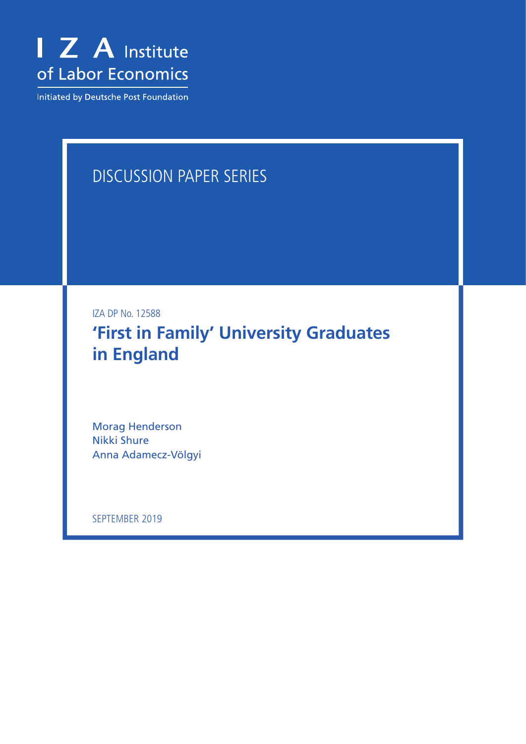

Initiated by Deutsche Post Foundation

## DISCUSSION PAPER SERIES

IZA DP No. 12588

**'First in Family' University Graduates in England**

Morag Henderson Nikki Shure Anna Adamecz-Völgyi

SEPTEMBER 2019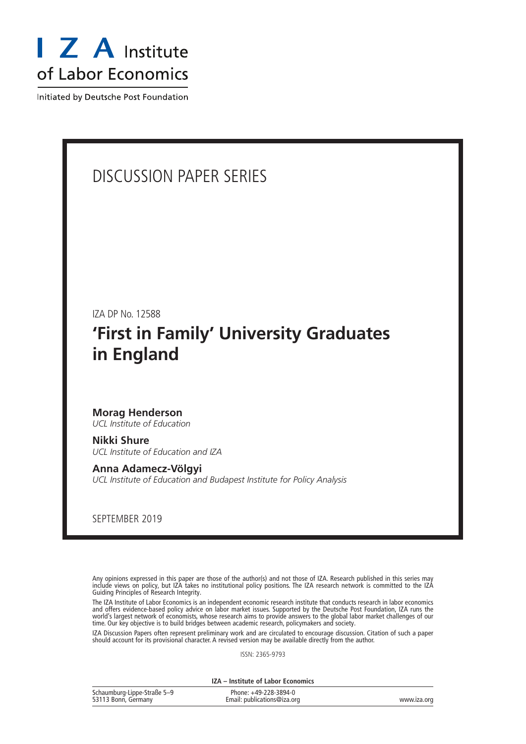

Initiated by Deutsche Post Foundation

## DISCUSSION PAPER SERIES

IZA DP No. 12588

## **'First in Family' University Graduates in England**

## **Morag Henderson**

*UCL Institute of Education*

**Nikki Shure** *UCL Institute of Education and IZA*

**Anna Adamecz-Völgyi** *UCL Institute of Education and Budapest Institute for Policy Analysis*

SEPTEMBER 2019

Any opinions expressed in this paper are those of the author(s) and not those of IZA. Research published in this series may include views on policy, but IZA takes no institutional policy positions. The IZA research network is committed to the IZA Guiding Principles of Research Integrity.

The IZA Institute of Labor Economics is an independent economic research institute that conducts research in labor economics and offers evidence-based policy advice on labor market issues. Supported by the Deutsche Post Foundation, IZA runs the world's largest network of economists, whose research aims to provide answers to the global labor market challenges of our time. Our key objective is to build bridges between academic research, policymakers and society.

IZA Discussion Papers often represent preliminary work and are circulated to encourage discussion. Citation of such a paper should account for its provisional character. A revised version may be available directly from the author.

ISSN: 2365-9793

**IZA – Institute of Labor Economics**

| Schaumburg-Lippe-Straße 5-9 | Phone: +49-228-3894-0       |             |
|-----------------------------|-----------------------------|-------------|
| 53113 Bonn, Germany         | Email: publications@iza.org | www.iza.org |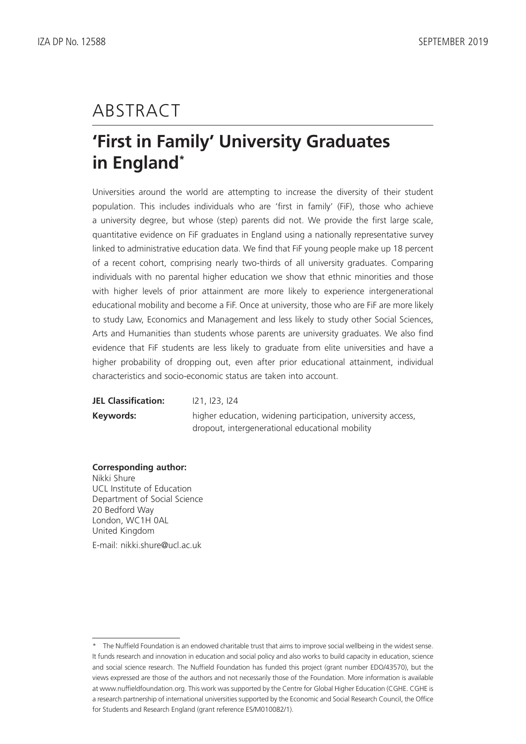# ABSTRACT

# **'First in Family' University Graduates in England\***

Universities around the world are attempting to increase the diversity of their student population. This includes individuals who are 'first in family' (FiF), those who achieve a university degree, but whose (step) parents did not. We provide the first large scale, quantitative evidence on FiF graduates in England using a nationally representative survey linked to administrative education data. We find that FiF young people make up 18 percent of a recent cohort, comprising nearly two-thirds of all university graduates. Comparing individuals with no parental higher education we show that ethnic minorities and those with higher levels of prior attainment are more likely to experience intergenerational educational mobility and become a FiF. Once at university, those who are FiF are more likely to study Law, Economics and Management and less likely to study other Social Sciences, Arts and Humanities than students whose parents are university graduates. We also find evidence that FiF students are less likely to graduate from elite universities and have a higher probability of dropping out, even after prior educational attainment, individual characteristics and socio-economic status are taken into account.

**JEL Classification:** I21, I23, I24 **Keywords:** higher education, widening participation, university access, dropout, intergenerational educational mobility

### **Corresponding author:**

Nikki Shure UCL Institute of Education Department of Social Science 20 Bedford Way London, WC1H 0AL United Kingdom E-mail: nikki.shure@ucl.ac.uk

<sup>\*</sup> The Nuffield Foundation is an endowed charitable trust that aims to improve social wellbeing in the widest sense. It funds research and innovation in education and social policy and also works to build capacity in education, science and social science research. The Nuffield Foundation has funded this project (grant number EDO/43570), but the views expressed are those of the authors and not necessarily those of the Foundation. More information is available at www.nuffieldfoundation.org. This work was supported by the Centre for Global Higher Education (CGHE. CGHE is a research partnership of international universities supported by the Economic and Social Research Council, the Office for Students and Research England (grant reference ES/M010082/1).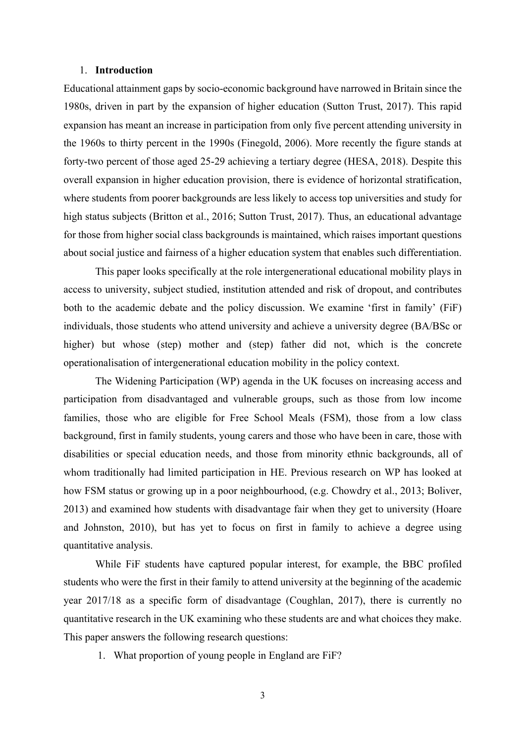#### 1. **Introduction**

Educational attainment gaps by socio-economic background have narrowed in Britain since the 1980s, driven in part by the expansion of higher education (Sutton Trust, 2017). This rapid expansion has meant an increase in participation from only five percent attending university in the 1960s to thirty percent in the 1990s (Finegold, 2006). More recently the figure stands at forty-two percent of those aged 25-29 achieving a tertiary degree (HESA, 2018). Despite this overall expansion in higher education provision, there is evidence of horizontal stratification, where students from poorer backgrounds are less likely to access top universities and study for high status subjects (Britton et al., 2016; Sutton Trust, 2017). Thus, an educational advantage for those from higher social class backgrounds is maintained, which raises important questions about social justice and fairness of a higher education system that enables such differentiation.

This paper looks specifically at the role intergenerational educational mobility plays in access to university, subject studied, institution attended and risk of dropout, and contributes both to the academic debate and the policy discussion. We examine 'first in family' (FiF) individuals, those students who attend university and achieve a university degree (BA/BSc or higher) but whose (step) mother and (step) father did not, which is the concrete operationalisation of intergenerational education mobility in the policy context.

The Widening Participation (WP) agenda in the UK focuses on increasing access and participation from disadvantaged and vulnerable groups, such as those from low income families, those who are eligible for Free School Meals (FSM), those from a low class background, first in family students, young carers and those who have been in care, those with disabilities or special education needs, and those from minority ethnic backgrounds, all of whom traditionally had limited participation in HE. Previous research on WP has looked at how FSM status or growing up in a poor neighbourhood, (e.g. Chowdry et al., 2013; Boliver, 2013) and examined how students with disadvantage fair when they get to university (Hoare and Johnston, 2010), but has yet to focus on first in family to achieve a degree using quantitative analysis.

While FiF students have captured popular interest, for example, the BBC profiled students who were the first in their family to attend university at the beginning of the academic year 2017/18 as a specific form of disadvantage (Coughlan, 2017), there is currently no quantitative research in the UK examining who these students are and what choices they make. This paper answers the following research questions:

1. What proportion of young people in England are FiF?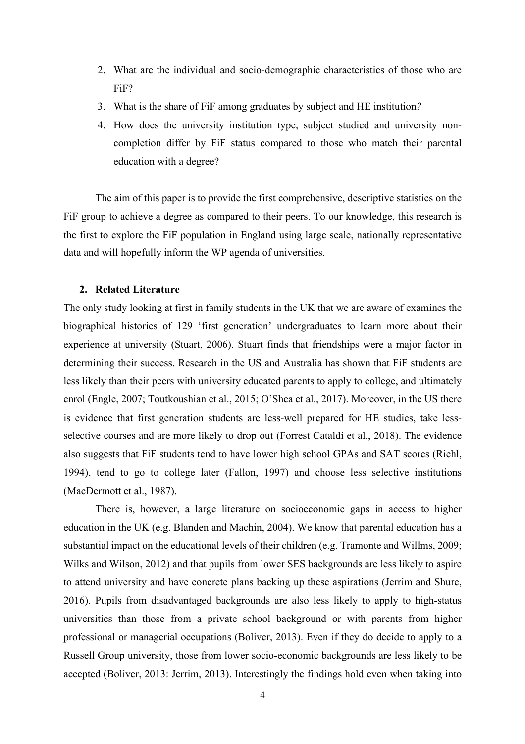- 2. What are the individual and socio-demographic characteristics of those who are FiF?
- 3. What is the share of FiF among graduates by subject and HE institution*?*
- 4. How does the university institution type, subject studied and university noncompletion differ by FiF status compared to those who match their parental education with a degree?

The aim of this paper is to provide the first comprehensive, descriptive statistics on the FiF group to achieve a degree as compared to their peers. To our knowledge, this research is the first to explore the FiF population in England using large scale, nationally representative data and will hopefully inform the WP agenda of universities.

#### **2. Related Literature**

The only study looking at first in family students in the UK that we are aware of examines the biographical histories of 129 'first generation' undergraduates to learn more about their experience at university (Stuart, 2006). Stuart finds that friendships were a major factor in determining their success. Research in the US and Australia has shown that FiF students are less likely than their peers with university educated parents to apply to college, and ultimately enrol (Engle, 2007; Toutkoushian et al., 2015; O'Shea et al., 2017). Moreover, in the US there is evidence that first generation students are less-well prepared for HE studies, take lessselective courses and are more likely to drop out (Forrest Cataldi et al., 2018). The evidence also suggests that FiF students tend to have lower high school GPAs and SAT scores (Riehl, 1994), tend to go to college later (Fallon, 1997) and choose less selective institutions (MacDermott et al., 1987).

There is, however, a large literature on socioeconomic gaps in access to higher education in the UK (e.g. Blanden and Machin, 2004). We know that parental education has a substantial impact on the educational levels of their children (e.g. Tramonte and Willms, 2009; Wilks and Wilson, 2012) and that pupils from lower SES backgrounds are less likely to aspire to attend university and have concrete plans backing up these aspirations (Jerrim and Shure, 2016). Pupils from disadvantaged backgrounds are also less likely to apply to high-status universities than those from a private school background or with parents from higher professional or managerial occupations (Boliver, 2013). Even if they do decide to apply to a Russell Group university, those from lower socio-economic backgrounds are less likely to be accepted (Boliver, 2013: Jerrim, 2013). Interestingly the findings hold even when taking into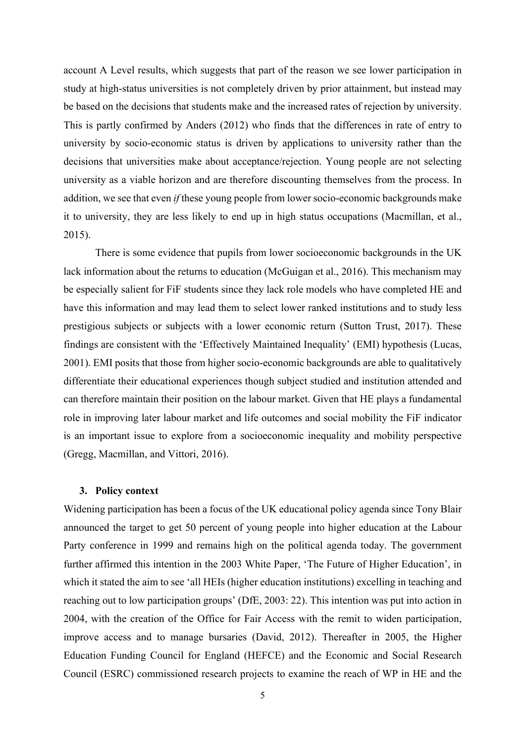account A Level results, which suggests that part of the reason we see lower participation in study at high-status universities is not completely driven by prior attainment, but instead may be based on the decisions that students make and the increased rates of rejection by university. This is partly confirmed by Anders (2012) who finds that the differences in rate of entry to university by socio-economic status is driven by applications to university rather than the decisions that universities make about acceptance/rejection. Young people are not selecting university as a viable horizon and are therefore discounting themselves from the process. In addition, we see that even *if* these young people from lower socio-economic backgrounds make it to university, they are less likely to end up in high status occupations (Macmillan, et al., 2015).

There is some evidence that pupils from lower socioeconomic backgrounds in the UK lack information about the returns to education (McGuigan et al., 2016). This mechanism may be especially salient for FiF students since they lack role models who have completed HE and have this information and may lead them to select lower ranked institutions and to study less prestigious subjects or subjects with a lower economic return (Sutton Trust, 2017). These findings are consistent with the 'Effectively Maintained Inequality' (EMI) hypothesis (Lucas, 2001). EMI posits that those from higher socio-economic backgrounds are able to qualitatively differentiate their educational experiences though subject studied and institution attended and can therefore maintain their position on the labour market. Given that HE plays a fundamental role in improving later labour market and life outcomes and social mobility the FiF indicator is an important issue to explore from a socioeconomic inequality and mobility perspective (Gregg, Macmillan, and Vittori, 2016).

#### **3. Policy context**

Widening participation has been a focus of the UK educational policy agenda since Tony Blair announced the target to get 50 percent of young people into higher education at the Labour Party conference in 1999 and remains high on the political agenda today. The government further affirmed this intention in the 2003 White Paper, 'The Future of Higher Education', in which it stated the aim to see 'all HEIs (higher education institutions) excelling in teaching and reaching out to low participation groups' (DfE, 2003: 22). This intention was put into action in 2004, with the creation of the Office for Fair Access with the remit to widen participation, improve access and to manage bursaries (David, 2012). Thereafter in 2005, the Higher Education Funding Council for England (HEFCE) and the Economic and Social Research Council (ESRC) commissioned research projects to examine the reach of WP in HE and the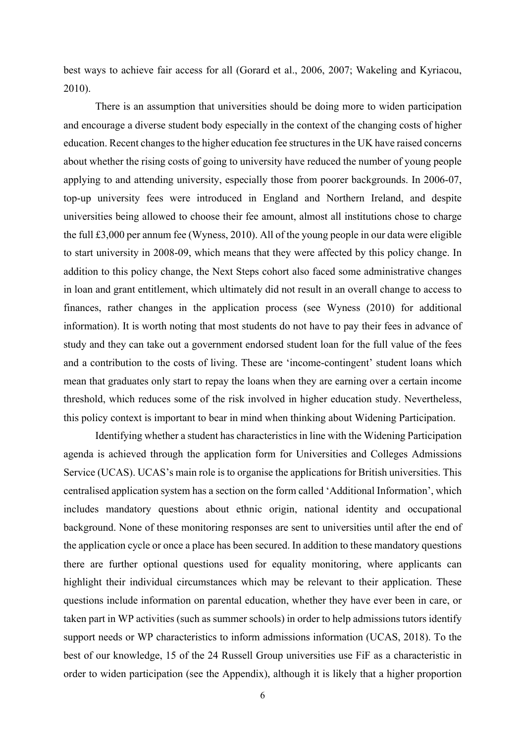best ways to achieve fair access for all (Gorard et al., 2006, 2007; Wakeling and Kyriacou, 2010).

There is an assumption that universities should be doing more to widen participation and encourage a diverse student body especially in the context of the changing costs of higher education. Recent changes to the higher education fee structures in the UK have raised concerns about whether the rising costs of going to university have reduced the number of young people applying to and attending university, especially those from poorer backgrounds. In 2006-07, top-up university fees were introduced in England and Northern Ireland, and despite universities being allowed to choose their fee amount, almost all institutions chose to charge the full £3,000 per annum fee (Wyness, 2010). All of the young people in our data were eligible to start university in 2008-09, which means that they were affected by this policy change. In addition to this policy change, the Next Steps cohort also faced some administrative changes in loan and grant entitlement, which ultimately did not result in an overall change to access to finances, rather changes in the application process (see Wyness (2010) for additional information). It is worth noting that most students do not have to pay their fees in advance of study and they can take out a government endorsed student loan for the full value of the fees and a contribution to the costs of living. These are 'income-contingent' student loans which mean that graduates only start to repay the loans when they are earning over a certain income threshold, which reduces some of the risk involved in higher education study. Nevertheless, this policy context is important to bear in mind when thinking about Widening Participation.

Identifying whether a student has characteristics in line with the Widening Participation agenda is achieved through the application form for Universities and Colleges Admissions Service (UCAS). UCAS's main role is to organise the applications for British universities. This centralised application system has a section on the form called 'Additional Information', which includes mandatory questions about ethnic origin, national identity and occupational background. None of these monitoring responses are sent to universities until after the end of the application cycle or once a place has been secured. In addition to these mandatory questions there are further optional questions used for equality monitoring, where applicants can highlight their individual circumstances which may be relevant to their application. These questions include information on parental education, whether they have ever been in care, or taken part in WP activities (such as summer schools) in order to help admissions tutors identify support needs or WP characteristics to inform admissions information (UCAS, 2018). To the best of our knowledge, 15 of the 24 Russell Group universities use FiF as a characteristic in order to widen participation (see the Appendix), although it is likely that a higher proportion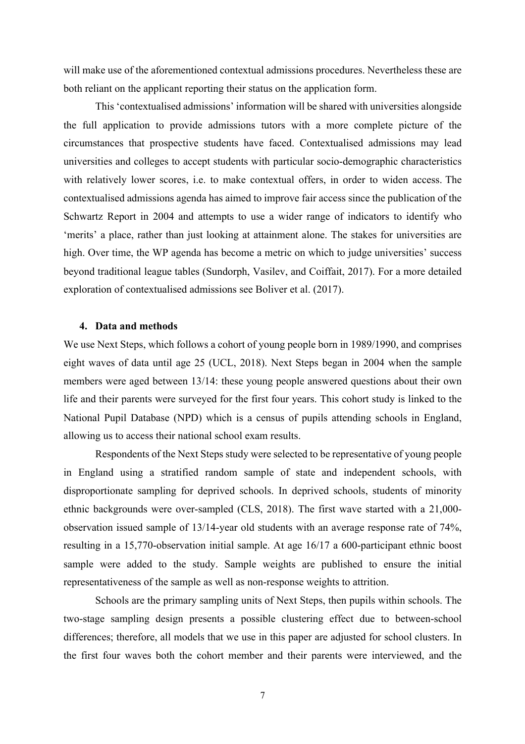will make use of the aforementioned contextual admissions procedures. Nevertheless these are both reliant on the applicant reporting their status on the application form.

This 'contextualised admissions' information will be shared with universities alongside the full application to provide admissions tutors with a more complete picture of the circumstances that prospective students have faced. Contextualised admissions may lead universities and colleges to accept students with particular socio-demographic characteristics with relatively lower scores, i.e. to make contextual offers, in order to widen access. The contextualised admissions agenda has aimed to improve fair access since the publication of the Schwartz Report in 2004 and attempts to use a wider range of indicators to identify who 'merits' a place, rather than just looking at attainment alone. The stakes for universities are high. Over time, the WP agenda has become a metric on which to judge universities' success beyond traditional league tables (Sundorph, Vasilev, and Coiffait, 2017). For a more detailed exploration of contextualised admissions see Boliver et al. (2017).

#### **4. Data and methods**

We use Next Steps, which follows a cohort of young people born in 1989/1990, and comprises eight waves of data until age 25 (UCL, 2018). Next Steps began in 2004 when the sample members were aged between 13/14: these young people answered questions about their own life and their parents were surveyed for the first four years. This cohort study is linked to the National Pupil Database (NPD) which is a census of pupils attending schools in England, allowing us to access their national school exam results.

Respondents of the Next Steps study were selected to be representative of young people in England using a stratified random sample of state and independent schools, with disproportionate sampling for deprived schools. In deprived schools, students of minority ethnic backgrounds were over-sampled (CLS, 2018). The first wave started with a 21,000 observation issued sample of 13/14-year old students with an average response rate of 74%, resulting in a 15,770-observation initial sample. At age 16/17 a 600-participant ethnic boost sample were added to the study. Sample weights are published to ensure the initial representativeness of the sample as well as non-response weights to attrition.

Schools are the primary sampling units of Next Steps, then pupils within schools. The two-stage sampling design presents a possible clustering effect due to between-school differences; therefore, all models that we use in this paper are adjusted for school clusters. In the first four waves both the cohort member and their parents were interviewed, and the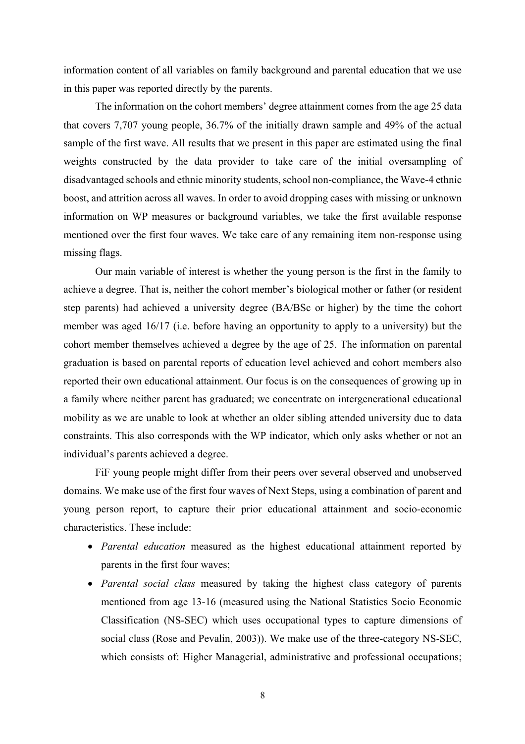information content of all variables on family background and parental education that we use in this paper was reported directly by the parents.

The information on the cohort members' degree attainment comes from the age 25 data that covers 7,707 young people, 36.7% of the initially drawn sample and 49% of the actual sample of the first wave. All results that we present in this paper are estimated using the final weights constructed by the data provider to take care of the initial oversampling of disadvantaged schools and ethnic minority students, school non-compliance, the Wave-4 ethnic boost, and attrition across all waves. In order to avoid dropping cases with missing or unknown information on WP measures or background variables, we take the first available response mentioned over the first four waves. We take care of any remaining item non-response using missing flags.

Our main variable of interest is whether the young person is the first in the family to achieve a degree. That is, neither the cohort member's biological mother or father (or resident step parents) had achieved a university degree (BA/BSc or higher) by the time the cohort member was aged 16/17 (i.e. before having an opportunity to apply to a university) but the cohort member themselves achieved a degree by the age of 25. The information on parental graduation is based on parental reports of education level achieved and cohort members also reported their own educational attainment. Our focus is on the consequences of growing up in a family where neither parent has graduated; we concentrate on intergenerational educational mobility as we are unable to look at whether an older sibling attended university due to data constraints. This also corresponds with the WP indicator, which only asks whether or not an individual's parents achieved a degree.

FiF young people might differ from their peers over several observed and unobserved domains. We make use of the first four waves of Next Steps, using a combination of parent and young person report, to capture their prior educational attainment and socio-economic characteristics. These include:

- *Parental education* measured as the highest educational attainment reported by parents in the first four waves;
- *Parental social class* measured by taking the highest class category of parents mentioned from age 13-16 (measured using the National Statistics Socio Economic Classification (NS-SEC) which uses occupational types to capture dimensions of social class (Rose and Pevalin, 2003)). We make use of the three-category NS-SEC, which consists of: Higher Managerial, administrative and professional occupations;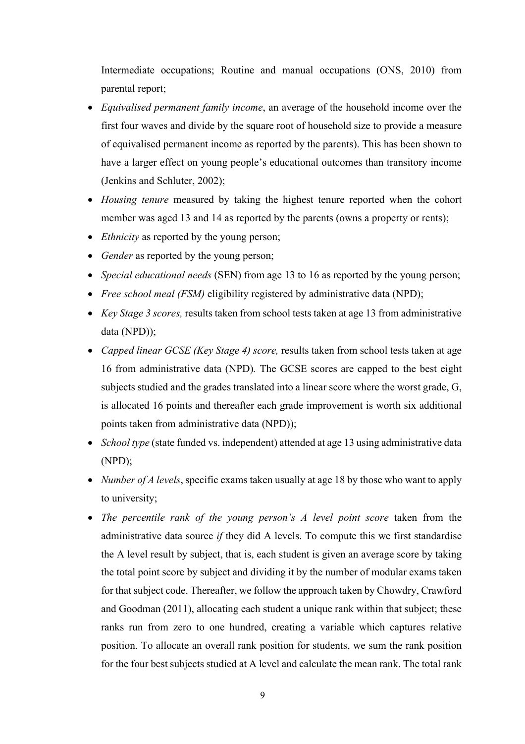Intermediate occupations; Routine and manual occupations (ONS, 2010) from parental report;

- *Equivalised permanent family income*, an average of the household income over the first four waves and divide by the square root of household size to provide a measure of equivalised permanent income as reported by the parents). This has been shown to have a larger effect on young people's educational outcomes than transitory income (Jenkins and Schluter, 2002);
- *Housing tenure* measured by taking the highest tenure reported when the cohort member was aged 13 and 14 as reported by the parents (owns a property or rents);
- *Ethnicity* as reported by the young person;
- *Gender* as reported by the young person;
- *Special educational needs* (SEN) from age 13 to 16 as reported by the young person;
- *Free school meal (FSM)* eligibility registered by administrative data (NPD);
- *Key Stage 3 scores,* results taken from school tests taken at age 13 from administrative data (NPD));
- *Capped linear GCSE (Key Stage 4) score,* results taken from school tests taken at age 16 from administrative data (NPD)*.* The GCSE scores are capped to the best eight subjects studied and the grades translated into a linear score where the worst grade, G, is allocated 16 points and thereafter each grade improvement is worth six additional points taken from administrative data (NPD));
- *School type* (state funded vs. independent) attended at age 13 using administrative data (NPD);
- *Number of A levels*, specific exams taken usually at age 18 by those who want to apply to university;
- *The percentile rank of the young person's A level point score* taken from the administrative data source *if* they did A levels. To compute this we first standardise the A level result by subject, that is, each student is given an average score by taking the total point score by subject and dividing it by the number of modular exams taken for that subject code. Thereafter, we follow the approach taken by Chowdry, Crawford and Goodman (2011), allocating each student a unique rank within that subject; these ranks run from zero to one hundred, creating a variable which captures relative position. To allocate an overall rank position for students, we sum the rank position for the four best subjects studied at A level and calculate the mean rank. The total rank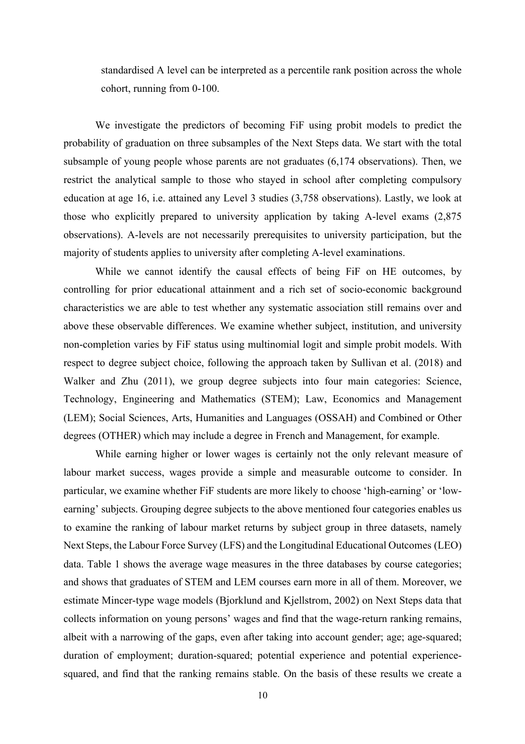standardised A level can be interpreted as a percentile rank position across the whole cohort, running from 0-100.

We investigate the predictors of becoming FiF using probit models to predict the probability of graduation on three subsamples of the Next Steps data. We start with the total subsample of young people whose parents are not graduates (6,174 observations). Then, we restrict the analytical sample to those who stayed in school after completing compulsory education at age 16, i.e. attained any Level 3 studies (3,758 observations). Lastly, we look at those who explicitly prepared to university application by taking A-level exams (2,875 observations). A-levels are not necessarily prerequisites to university participation, but the majority of students applies to university after completing A-level examinations.

While we cannot identify the causal effects of being FiF on HE outcomes, by controlling for prior educational attainment and a rich set of socio-economic background characteristics we are able to test whether any systematic association still remains over and above these observable differences. We examine whether subject, institution, and university non-completion varies by FiF status using multinomial logit and simple probit models. With respect to degree subject choice, following the approach taken by Sullivan et al. (2018) and Walker and Zhu (2011), we group degree subjects into four main categories: Science, Technology, Engineering and Mathematics (STEM); Law, Economics and Management (LEM); Social Sciences, Arts, Humanities and Languages (OSSAH) and Combined or Other degrees (OTHER) which may include a degree in French and Management, for example.

While earning higher or lower wages is certainly not the only relevant measure of labour market success, wages provide a simple and measurable outcome to consider. In particular, we examine whether FiF students are more likely to choose 'high-earning' or 'lowearning' subjects. Grouping degree subjects to the above mentioned four categories enables us to examine the ranking of labour market returns by subject group in three datasets, namely Next Steps, the Labour Force Survey (LFS) and the Longitudinal Educational Outcomes (LEO) data. Table 1 shows the average wage measures in the three databases by course categories; and shows that graduates of STEM and LEM courses earn more in all of them. Moreover, we estimate Mincer-type wage models (Bjorklund and Kjellstrom, 2002) on Next Steps data that collects information on young persons' wages and find that the wage-return ranking remains, albeit with a narrowing of the gaps, even after taking into account gender; age; age-squared; duration of employment; duration-squared; potential experience and potential experiencesquared, and find that the ranking remains stable. On the basis of these results we create a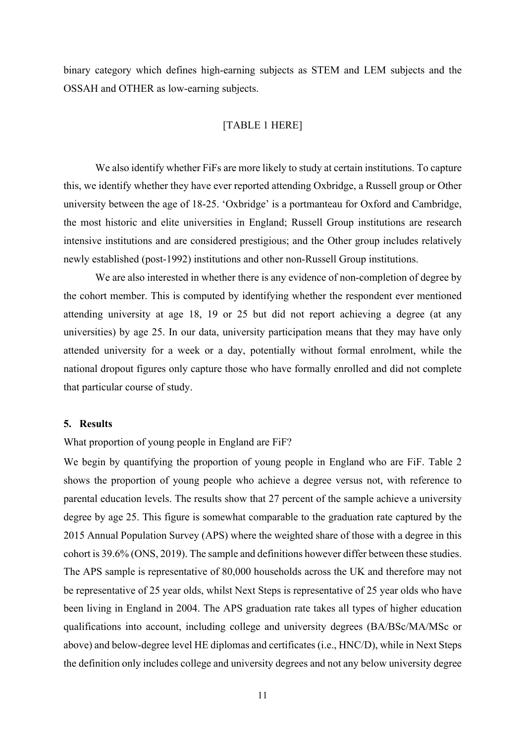binary category which defines high-earning subjects as STEM and LEM subjects and the OSSAH and OTHER as low-earning subjects.

## [TABLE 1 HERE]

We also identify whether FiFs are more likely to study at certain institutions. To capture this, we identify whether they have ever reported attending Oxbridge, a Russell group or Other university between the age of 18-25. 'Oxbridge' is a portmanteau for Oxford and Cambridge, the most historic and elite universities in England; Russell Group institutions are research intensive institutions and are considered prestigious; and the Other group includes relatively newly established (post-1992) institutions and other non-Russell Group institutions.

We are also interested in whether there is any evidence of non-completion of degree by the cohort member. This is computed by identifying whether the respondent ever mentioned attending university at age 18, 19 or 25 but did not report achieving a degree (at any universities) by age 25. In our data, university participation means that they may have only attended university for a week or a day, potentially without formal enrolment, while the national dropout figures only capture those who have formally enrolled and did not complete that particular course of study.

#### **5. Results**

What proportion of young people in England are FiF?

We begin by quantifying the proportion of young people in England who are FiF. Table 2 shows the proportion of young people who achieve a degree versus not, with reference to parental education levels. The results show that 27 percent of the sample achieve a university degree by age 25. This figure is somewhat comparable to the graduation rate captured by the 2015 Annual Population Survey (APS) where the weighted share of those with a degree in this cohort is 39.6% (ONS, 2019). The sample and definitions however differ between these studies. The APS sample is representative of 80,000 households across the UK and therefore may not be representative of 25 year olds, whilst Next Steps is representative of 25 year olds who have been living in England in 2004. The APS graduation rate takes all types of higher education qualifications into account, including college and university degrees (BA/BSc/MA/MSc or above) and below-degree level HE diplomas and certificates (i.e., HNC/D), while in Next Steps the definition only includes college and university degrees and not any below university degree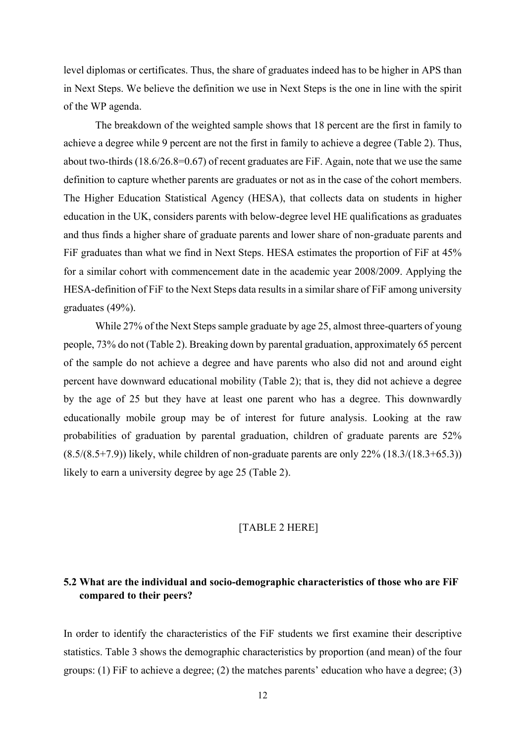level diplomas or certificates. Thus, the share of graduates indeed has to be higher in APS than in Next Steps. We believe the definition we use in Next Steps is the one in line with the spirit of the WP agenda.

The breakdown of the weighted sample shows that 18 percent are the first in family to achieve a degree while 9 percent are not the first in family to achieve a degree (Table 2). Thus, about two-thirds (18.6/26.8=0.67) of recent graduates are FiF. Again, note that we use the same definition to capture whether parents are graduates or not as in the case of the cohort members. The Higher Education Statistical Agency (HESA), that collects data on students in higher education in the UK, considers parents with below-degree level HE qualifications as graduates and thus finds a higher share of graduate parents and lower share of non-graduate parents and FiF graduates than what we find in Next Steps. HESA estimates the proportion of FiF at 45% for a similar cohort with commencement date in the academic year 2008/2009. Applying the HESA-definition of FiF to the Next Steps data results in a similar share of FiF among university graduates (49%).

While 27% of the Next Steps sample graduate by age 25, almost three-quarters of young people, 73% do not (Table 2). Breaking down by parental graduation, approximately 65 percent of the sample do not achieve a degree and have parents who also did not and around eight percent have downward educational mobility (Table 2); that is, they did not achieve a degree by the age of 25 but they have at least one parent who has a degree. This downwardly educationally mobile group may be of interest for future analysis. Looking at the raw probabilities of graduation by parental graduation, children of graduate parents are 52%  $(8.5/(8.5+7.9))$  likely, while children of non-graduate parents are only 22%  $(18.3/(18.3+65.3))$ likely to earn a university degree by age 25 (Table 2).

## [TABLE 2 HERE]

## **5.2 What are the individual and socio-demographic characteristics of those who are FiF compared to their peers?**

In order to identify the characteristics of the FiF students we first examine their descriptive statistics. Table 3 shows the demographic characteristics by proportion (and mean) of the four groups: (1) FiF to achieve a degree; (2) the matches parents' education who have a degree; (3)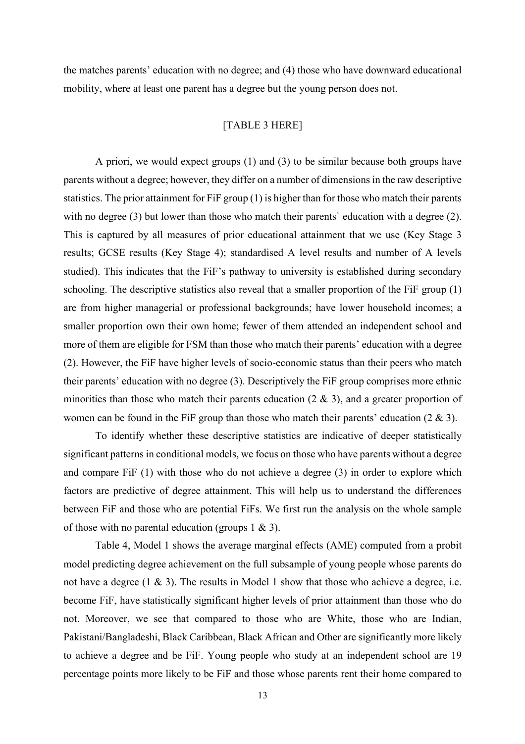the matches parents' education with no degree; and (4) those who have downward educational mobility, where at least one parent has a degree but the young person does not.

### [TABLE 3 HERE]

A priori, we would expect groups (1) and (3) to be similar because both groups have parents without a degree; however, they differ on a number of dimensions in the raw descriptive statistics. The prior attainment for FiF group (1) is higher than for those who match their parents with no degree (3) but lower than those who match their parents' education with a degree (2). This is captured by all measures of prior educational attainment that we use (Key Stage 3 results; GCSE results (Key Stage 4); standardised A level results and number of A levels studied). This indicates that the FiF's pathway to university is established during secondary schooling. The descriptive statistics also reveal that a smaller proportion of the FiF group (1) are from higher managerial or professional backgrounds; have lower household incomes; a smaller proportion own their own home; fewer of them attended an independent school and more of them are eligible for FSM than those who match their parents' education with a degree (2). However, the FiF have higher levels of socio-economic status than their peers who match their parents' education with no degree (3). Descriptively the FiF group comprises more ethnic minorities than those who match their parents education  $(2 \& 3)$ , and a greater proportion of women can be found in the FiF group than those who match their parents' education (2 & 3).

To identify whether these descriptive statistics are indicative of deeper statistically significant patterns in conditional models, we focus on those who have parents without a degree and compare FiF (1) with those who do not achieve a degree (3) in order to explore which factors are predictive of degree attainment. This will help us to understand the differences between FiF and those who are potential FiFs. We first run the analysis on the whole sample of those with no parental education (groups  $1 \& 3$ ).

Table 4, Model 1 shows the average marginal effects (AME) computed from a probit model predicting degree achievement on the full subsample of young people whose parents do not have a degree  $(1 \& 3)$ . The results in Model 1 show that those who achieve a degree, i.e. become FiF, have statistically significant higher levels of prior attainment than those who do not. Moreover, we see that compared to those who are White, those who are Indian, Pakistani/Bangladeshi, Black Caribbean, Black African and Other are significantly more likely to achieve a degree and be FiF. Young people who study at an independent school are 19 percentage points more likely to be FiF and those whose parents rent their home compared to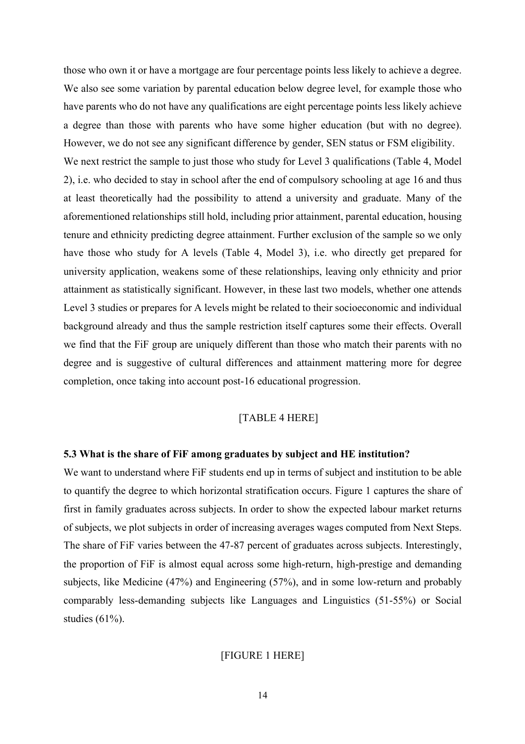those who own it or have a mortgage are four percentage points less likely to achieve a degree. We also see some variation by parental education below degree level, for example those who have parents who do not have any qualifications are eight percentage points less likely achieve a degree than those with parents who have some higher education (but with no degree). However, we do not see any significant difference by gender, SEN status or FSM eligibility. We next restrict the sample to just those who study for Level 3 qualifications (Table 4, Model 2), i.e. who decided to stay in school after the end of compulsory schooling at age 16 and thus at least theoretically had the possibility to attend a university and graduate. Many of the aforementioned relationships still hold, including prior attainment, parental education, housing tenure and ethnicity predicting degree attainment. Further exclusion of the sample so we only have those who study for A levels (Table 4, Model 3), i.e. who directly get prepared for university application, weakens some of these relationships, leaving only ethnicity and prior attainment as statistically significant. However, in these last two models, whether one attends Level 3 studies or prepares for A levels might be related to their socioeconomic and individual background already and thus the sample restriction itself captures some their effects. Overall we find that the FiF group are uniquely different than those who match their parents with no degree and is suggestive of cultural differences and attainment mattering more for degree completion, once taking into account post-16 educational progression.

#### [TABLE 4 HERE]

#### **5.3 What is the share of FiF among graduates by subject and HE institution?**

We want to understand where FiF students end up in terms of subject and institution to be able to quantify the degree to which horizontal stratification occurs. Figure 1 captures the share of first in family graduates across subjects. In order to show the expected labour market returns of subjects, we plot subjects in order of increasing averages wages computed from Next Steps. The share of FiF varies between the 47-87 percent of graduates across subjects. Interestingly, the proportion of FiF is almost equal across some high-return, high-prestige and demanding subjects, like Medicine (47%) and Engineering (57%), and in some low-return and probably comparably less-demanding subjects like Languages and Linguistics (51-55%) or Social studies (61%).

### [FIGURE 1 HERE]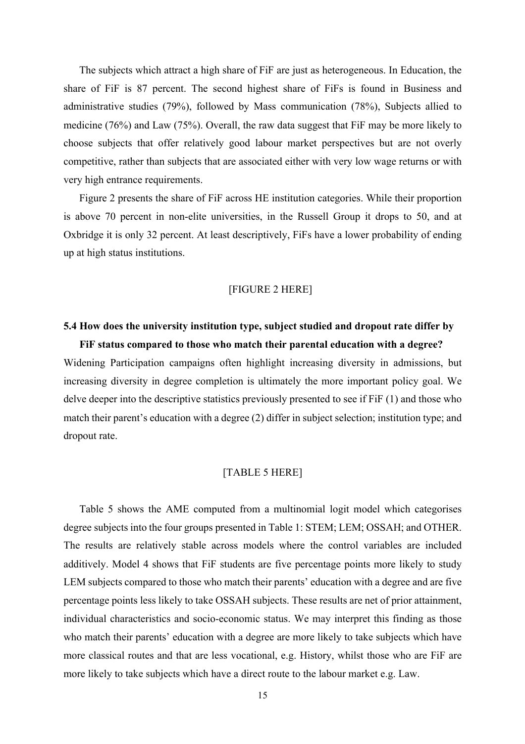The subjects which attract a high share of FiF are just as heterogeneous. In Education, the share of FiF is 87 percent. The second highest share of FiFs is found in Business and administrative studies (79%), followed by Mass communication (78%), Subjects allied to medicine (76%) and Law (75%). Overall, the raw data suggest that FiF may be more likely to choose subjects that offer relatively good labour market perspectives but are not overly competitive, rather than subjects that are associated either with very low wage returns or with very high entrance requirements.

Figure 2 presents the share of FiF across HE institution categories. While their proportion is above 70 percent in non-elite universities, in the Russell Group it drops to 50, and at Oxbridge it is only 32 percent. At least descriptively, FiFs have a lower probability of ending up at high status institutions.

#### [FIGURE 2 HERE]

## **5.4 How does the university institution type, subject studied and dropout rate differ by**

**FiF status compared to those who match their parental education with a degree?** Widening Participation campaigns often highlight increasing diversity in admissions, but increasing diversity in degree completion is ultimately the more important policy goal. We delve deeper into the descriptive statistics previously presented to see if FiF (1) and those who match their parent's education with a degree (2) differ in subject selection; institution type; and dropout rate.

### [TABLE 5 HERE]

Table 5 shows the AME computed from a multinomial logit model which categorises degree subjects into the four groups presented in Table 1: STEM; LEM; OSSAH; and OTHER. The results are relatively stable across models where the control variables are included additively. Model 4 shows that FiF students are five percentage points more likely to study LEM subjects compared to those who match their parents' education with a degree and are five percentage points less likely to take OSSAH subjects. These results are net of prior attainment, individual characteristics and socio-economic status. We may interpret this finding as those who match their parents' education with a degree are more likely to take subjects which have more classical routes and that are less vocational, e.g. History, whilst those who are FiF are more likely to take subjects which have a direct route to the labour market e.g. Law.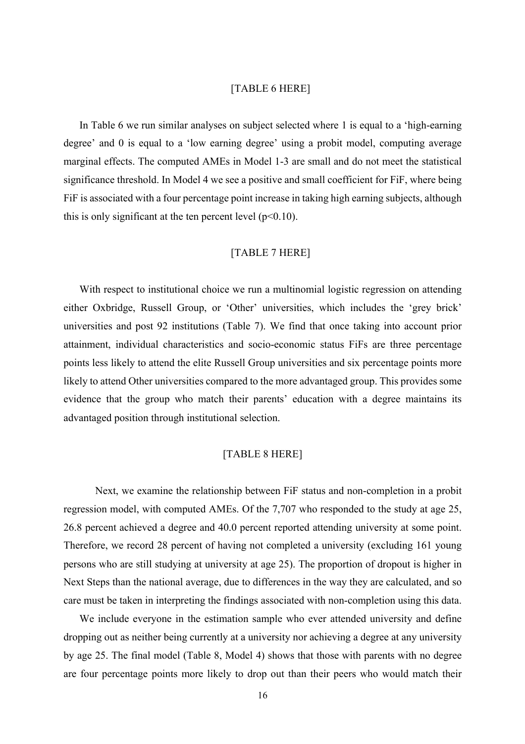#### [TABLE 6 HERE]

In Table 6 we run similar analyses on subject selected where 1 is equal to a 'high-earning degree' and 0 is equal to a 'low earning degree' using a probit model, computing average marginal effects. The computed AMEs in Model 1-3 are small and do not meet the statistical significance threshold. In Model 4 we see a positive and small coefficient for FiF, where being FiF is associated with a four percentage point increase in taking high earning subjects, although this is only significant at the ten percent level ( $p<0.10$ ).

### [TABLE 7 HERE]

With respect to institutional choice we run a multinomial logistic regression on attending either Oxbridge, Russell Group, or 'Other' universities, which includes the 'grey brick' universities and post 92 institutions (Table 7). We find that once taking into account prior attainment, individual characteristics and socio-economic status FiFs are three percentage points less likely to attend the elite Russell Group universities and six percentage points more likely to attend Other universities compared to the more advantaged group. This provides some evidence that the group who match their parents' education with a degree maintains its advantaged position through institutional selection.

## [TABLE 8 HERE]

Next, we examine the relationship between FiF status and non-completion in a probit regression model, with computed AMEs. Of the 7,707 who responded to the study at age 25, 26.8 percent achieved a degree and 40.0 percent reported attending university at some point. Therefore, we record 28 percent of having not completed a university (excluding 161 young persons who are still studying at university at age 25). The proportion of dropout is higher in Next Steps than the national average, due to differences in the way they are calculated, and so care must be taken in interpreting the findings associated with non-completion using this data.

We include everyone in the estimation sample who ever attended university and define dropping out as neither being currently at a university nor achieving a degree at any university by age 25. The final model (Table 8, Model 4) shows that those with parents with no degree are four percentage points more likely to drop out than their peers who would match their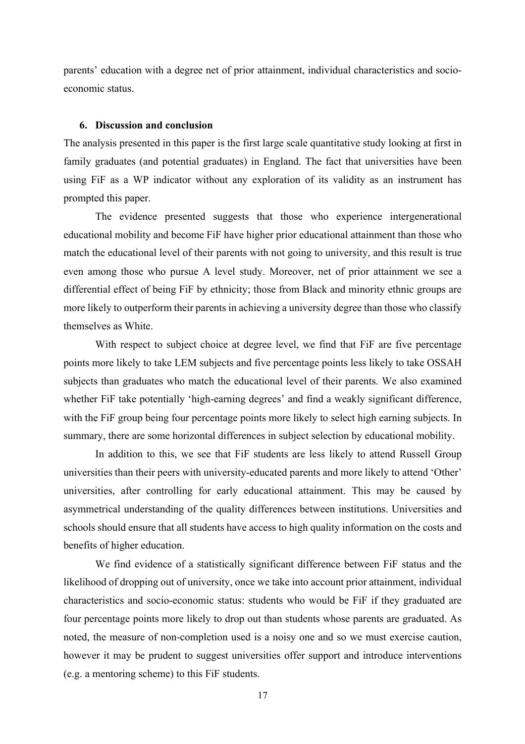parents' education with a degree net of prior attainment, individual characteristics and socioeconomic status.

## **6. Discussion and conclusion**

The analysis presented in this paper is the first large scale quantitative study looking at first in family graduates (and potential graduates) in England. The fact that universities have been using FiF as a WP indicator without any exploration of its validity as an instrument has prompted this paper.

The evidence presented suggests that those who experience intergenerational educational mobility and become FiF have higher prior educational attainment than those who match the educational level of their parents with not going to university, and this result is true even among those who pursue A level study. Moreover, net of prior attainment we see a differential effect of being FiF by ethnicity; those from Black and minority ethnic groups are more likely to outperform their parents in achieving a university degree than those who classify themselves as White.

With respect to subject choice at degree level, we find that FiF are five percentage points more likely to take LEM subjects and five percentage points less likely to take OSSAH subjects than graduates who match the educational level of their parents. We also examined whether FiF take potentially 'high-earning degrees' and find a weakly significant difference, with the FiF group being four percentage points more likely to select high earning subjects. In summary, there are some horizontal differences in subject selection by educational mobility.

In addition to this, we see that FiF students are less likely to attend Russell Group universities than their peers with university-educated parents and more likely to attend 'Other' universities, after controlling for early educational attainment. This may be caused by asymmetrical understanding of the quality differences between institutions. Universities and schools should ensure that all students have access to high quality information on the costs and benefits of higher education.

We find evidence of a statistically significant difference between FiF status and the likelihood of dropping out of university, once we take into account prior attainment, individual characteristics and socio-economic status: students who would be FiF if they graduated are four percentage points more likely to drop out than students whose parents are graduated. As noted, the measure of non-completion used is a noisy one and so we must exercise caution, however it may be prudent to suggest universities offer support and introduce interventions (e.g. a mentoring scheme) to this FiF students.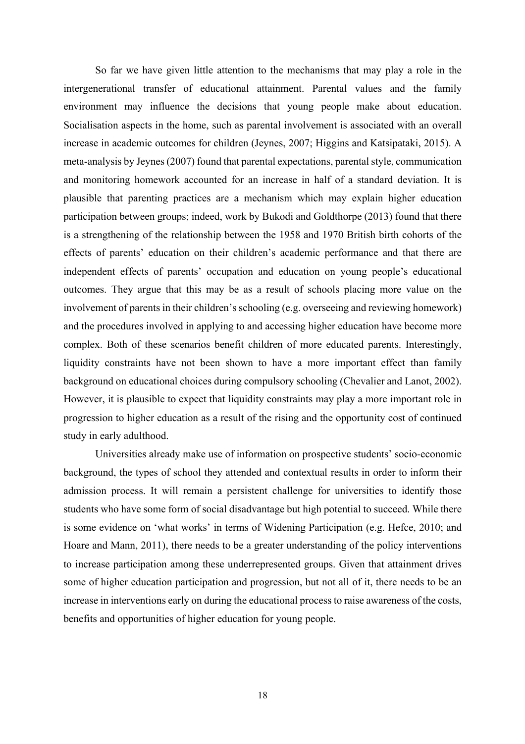So far we have given little attention to the mechanisms that may play a role in the intergenerational transfer of educational attainment. Parental values and the family environment may influence the decisions that young people make about education. Socialisation aspects in the home, such as parental involvement is associated with an overall increase in academic outcomes for children (Jeynes, 2007; Higgins and Katsipataki, 2015). A meta-analysis by Jeynes (2007) found that parental expectations, parental style, communication and monitoring homework accounted for an increase in half of a standard deviation. It is plausible that parenting practices are a mechanism which may explain higher education participation between groups; indeed, work by Bukodi and Goldthorpe (2013) found that there is a strengthening of the relationship between the 1958 and 1970 British birth cohorts of the effects of parents' education on their children's academic performance and that there are independent effects of parents' occupation and education on young people's educational outcomes. They argue that this may be as a result of schools placing more value on the involvement of parents in their children's schooling (e.g. overseeing and reviewing homework) and the procedures involved in applying to and accessing higher education have become more complex. Both of these scenarios benefit children of more educated parents. Interestingly, liquidity constraints have not been shown to have a more important effect than family background on educational choices during compulsory schooling (Chevalier and Lanot, 2002). However, it is plausible to expect that liquidity constraints may play a more important role in progression to higher education as a result of the rising and the opportunity cost of continued study in early adulthood.

Universities already make use of information on prospective students' socio-economic background, the types of school they attended and contextual results in order to inform their admission process. It will remain a persistent challenge for universities to identify those students who have some form of social disadvantage but high potential to succeed. While there is some evidence on 'what works' in terms of Widening Participation (e.g. Hefce, 2010; and Hoare and Mann, 2011), there needs to be a greater understanding of the policy interventions to increase participation among these underrepresented groups. Given that attainment drives some of higher education participation and progression, but not all of it, there needs to be an increase in interventions early on during the educational process to raise awareness of the costs, benefits and opportunities of higher education for young people.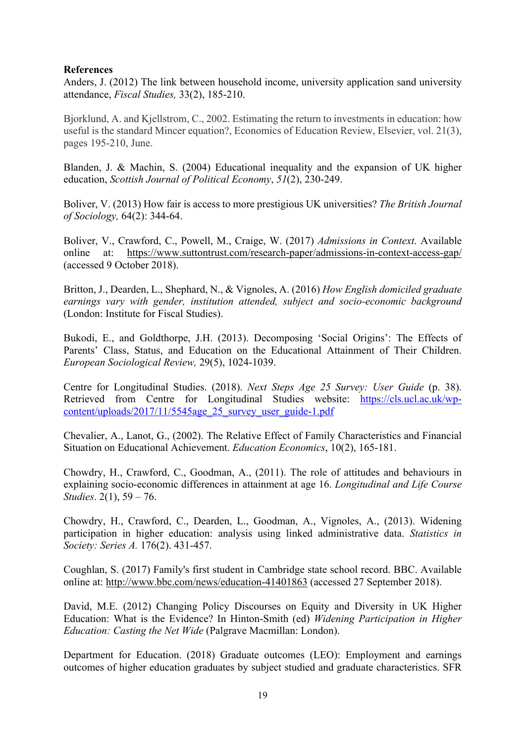## **References**

Anders, J. (2012) The link between household income, university application sand university attendance, *Fiscal Studies,* 33(2), 185-210.

Bjorklund, A. and Kjellstrom, C., 2002. Estimating the return to investments in education: how useful is the standard Mincer equation?, Economics of Education Review, Elsevier, vol. 21(3), pages 195-210, June.

Blanden, J. & Machin, S. (2004) Educational inequality and the expansion of UK higher education, *Scottish Journal of Political Economy*, *51*(2), 230-249.

Boliver, V. (2013) How fair is access to more prestigious UK universities? *The British Journal of Sociology,* 64(2): 344-64.

Boliver, V., Crawford, C., Powell, M., Craige, W. (2017) *Admissions in Context*. Available online at: https://www.suttontrust.com/research-paper/admissions-in-context-access-gap/ (accessed 9 October 2018).

Britton, J., Dearden, L., Shephard, N., & Vignoles, A. (2016) *How English domiciled graduate earnings vary with gender, institution attended, subject and socio-economic background* (London: Institute for Fiscal Studies).

Bukodi, E., and Goldthorpe, J.H. (2013). Decomposing 'Social Origins': The Effects of Parents' Class, Status, and Education on the Educational Attainment of Their Children. *European Sociological Review,* 29(5), 1024-1039.

Centre for Longitudinal Studies. (2018). *Next Steps Age 25 Survey: User Guide* (p. 38). Retrieved from Centre for Longitudinal Studies website: https://cls.ucl.ac.uk/wpcontent/uploads/2017/11/5545age\_25\_survey\_user\_guide-1.pdf

Chevalier, A., Lanot, G., (2002). The Relative Effect of Family Characteristics and Financial Situation on Educational Achievement. *Education Economics*, 10(2), 165-181.

Chowdry, H., Crawford, C., Goodman, A., (2011). The role of attitudes and behaviours in explaining socio-economic differences in attainment at age 16. *Longitudinal and Life Course Studies*. 2(1), 59 – 76.

Chowdry, H., Crawford, C., Dearden, L., Goodman, A., Vignoles, A., (2013). Widening participation in higher education: analysis using linked administrative data. *Statistics in Society: Series A.* 176(2). 431-457.

Coughlan, S. (2017) Family's first student in Cambridge state school record. BBC. Available online at: http://www.bbc.com/news/education-41401863 (accessed 27 September 2018).

David, M.E. (2012) Changing Policy Discourses on Equity and Diversity in UK Higher Education: What is the Evidence? In Hinton-Smith (ed) *Widening Participation in Higher Education: Casting the Net Wide* (Palgrave Macmillan: London).

Department for Education. (2018) Graduate outcomes (LEO): Employment and earnings outcomes of higher education graduates by subject studied and graduate characteristics. SFR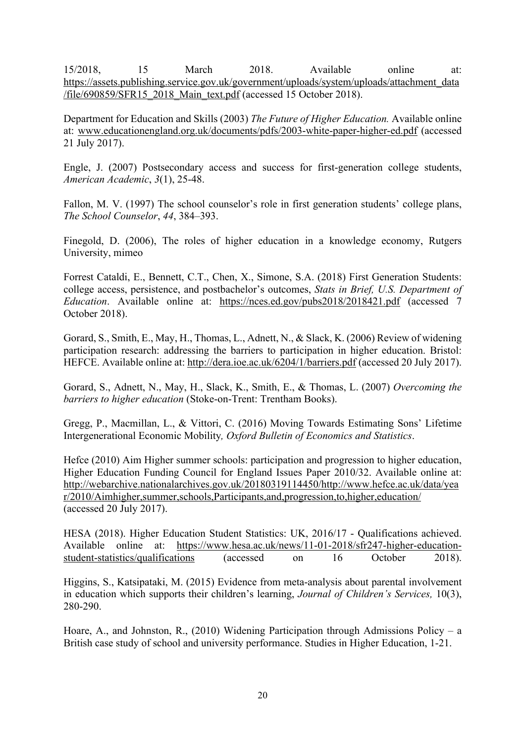15/2018, 15 March 2018. Available online at: https://assets.publishing.service.gov.uk/government/uploads/system/uploads/attachment\_data /file/690<u>859/SFR15\_2018\_Main\_text.pdf</u> (accessed 15 October 2018).

Department for Education and Skills (2003) *The Future of Higher Education.* Available online at: www.educationengland.org.uk/documents/pdfs/2003-white-paper-higher-ed.pdf (accessed 21 July 2017).

Engle, J. (2007) Postsecondary access and success for first-generation college students, *American Academic*, *3*(1), 25-48.

Fallon, M. V. (1997) The school counselor's role in first generation students' college plans, *The School Counselor*, *44*, 384–393.

Finegold, D. (2006), The roles of higher education in a knowledge economy, Rutgers University, mimeo

Forrest Cataldi, E., Bennett, C.T., Chen, X., Simone, S.A. (2018) First Generation Students: college access, persistence, and postbachelor's outcomes, *Stats in Brief, U.S. Department of Education*. Available online at: https://nces.ed.gov/pubs2018/2018421.pdf (accessed 7 October 2018).

Gorard, S., Smith, E., May, H., Thomas, L., Adnett, N., & Slack, K. (2006) Review of widening participation research: addressing the barriers to participation in higher education. Bristol: HEFCE. Available online at: http://dera.ioe.ac.uk/6204/1/barriers.pdf (accessed 20 July 2017).

Gorard, S., Adnett, N., May, H., Slack, K., Smith, E., & Thomas, L. (2007) *Overcoming the barriers to higher education* (Stoke-on-Trent: Trentham Books).

Gregg, P., Macmillan, L., & Vittori, C. (2016) Moving Towards Estimating Sons' Lifetime Intergenerational Economic Mobility*, Oxford Bulletin of Economics and Statistics*.

Hefce (2010) Aim Higher summer schools: participation and progression to higher education, Higher Education Funding Council for England Issues Paper 2010/32. Available online at: http://webarchive.nationalarchives.gov.uk/20180319114450/http://www.hefce.ac.uk/data/yea r/2010/Aimhigher,summer,schools,Participants,and,progression,to,higher,education/ (accessed 20 July 2017).

HESA (2018). Higher Education Student Statistics: UK, 2016/17 - Qualifications achieved. Available online at: https://www.hesa.ac.uk/news/11-01-2018/sfr247-higher-educationstudent-statistics/qualifications (accessed on 16 October 2018).

Higgins, S., Katsipataki, M. (2015) Evidence from meta-analysis about parental involvement in education which supports their children's learning, *Journal of Children's Services,* 10(3), 280-290.

Hoare, A., and Johnston, R., (2010) Widening Participation through Admissions Policy – a British case study of school and university performance. Studies in Higher Education, 1-21.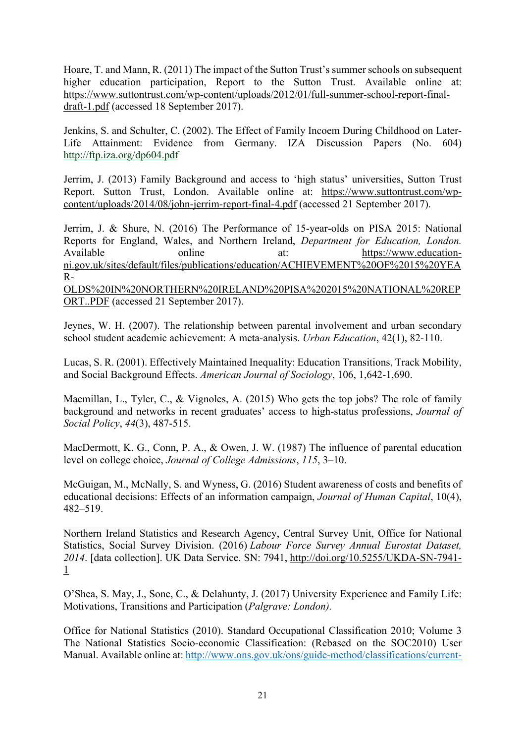Hoare, T. and Mann, R. (2011) The impact of the Sutton Trust's summer schools on subsequent higher education participation, Report to the Sutton Trust. Available online at: https://www.suttontrust.com/wp-content/uploads/2012/01/full-summer-school-report-finaldraft-1.pdf (accessed 18 September 2017).

Jenkins, S. and Schulter, C. (2002). The Effect of Family Incoem During Childhood on Later-Life Attainment: Evidence from Germany. IZA Discussion Papers (No. 604) http://ftp.iza.org/dp604.pdf

Jerrim, J. (2013) Family Background and access to 'high status' universities, Sutton Trust Report. Sutton Trust, London. Available online at: https://www.suttontrust.com/wpcontent/uploads/2014/08/john-jerrim-report-final-4.pdf (accessed 21 September 2017).

Jerrim, J. & Shure, N. (2016) The Performance of 15-year-olds on PISA 2015: National Reports for England, Wales, and Northern Ireland, *Department for Education, London.*  Available online at: https://www.educationni.gov.uk/sites/default/files/publications/education/ACHIEVEMENT%20OF%2015%20YEA R-OLDS%20IN%20NORTHERN%20IRELAND%20PISA%202015%20NATIONAL%20REP ORT..PDF (accessed 21 September 2017).

Jeynes, W. H. (2007). The relationship between parental involvement and urban secondary school student academic achievement: A meta-analysis. *Urban Education*, 42(1), 82-110.

Lucas, S. R. (2001). Effectively Maintained Inequality: Education Transitions, Track Mobility, and Social Background Effects. *American Journal of Sociology*, 106, 1,642-1,690.

Macmillan, L., Tyler, C., & Vignoles, A. (2015) Who gets the top jobs? The role of family background and networks in recent graduates' access to high-status professions, *Journal of Social Policy*, *44*(3), 487-515.

MacDermott, K. G., Conn, P. A., & Owen, J. W. (1987) The influence of parental education level on college choice, *Journal of College Admissions*, *115*, 3–10.

McGuigan, M., McNally, S. and Wyness, G. (2016) Student awareness of costs and benefits of educational decisions: Effects of an information campaign, *Journal of Human Capital*, 10(4), 482–519.

Northern Ireland Statistics and Research Agency, Central Survey Unit, Office for National Statistics, Social Survey Division. (2016) *Labour Force Survey Annual Eurostat Dataset, 2014*. [data collection]. UK Data Service. SN: 7941, http://doi.org/10.5255/UKDA-SN-7941- 1

O'Shea, S. May, J., Sone, C., & Delahunty, J. (2017) University Experience and Family Life: Motivations, Transitions and Participation (*Palgrave: London).*

Office for National Statistics (2010). Standard Occupational Classification 2010; Volume 3 The National Statistics Socio-economic Classification: (Rebased on the SOC2010) User Manual. Available online at: http://www.ons.gov.uk/ons/guide-method/classifications/current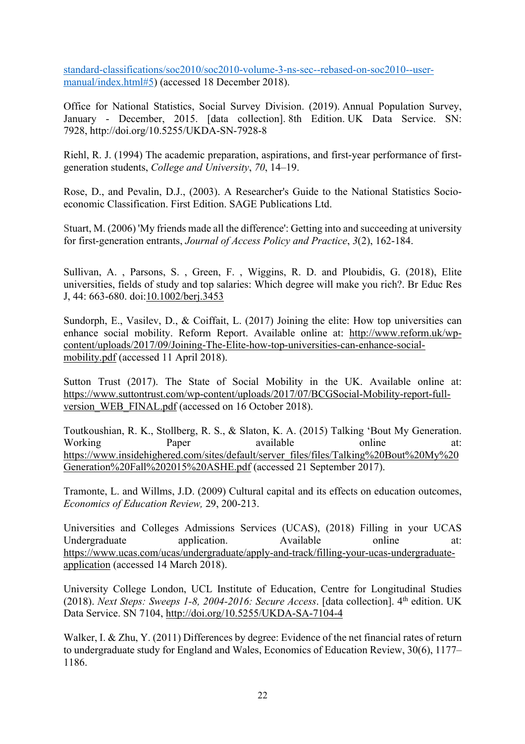standard-classifications/soc2010/soc2010-volume-3-ns-sec--rebased-on-soc2010--usermanual/index.html#5) (accessed 18 December 2018).

Office for National Statistics, Social Survey Division. (2019). Annual Population Survey, January - December, 2015. [data collection]. 8th Edition. UK Data Service. SN: 7928, http://doi.org/10.5255/UKDA-SN-7928-8

Riehl, R. J. (1994) The academic preparation, aspirations, and first-year performance of firstgeneration students, *College and University*, *70*, 14–19.

Rose, D., and Pevalin, D.J., (2003). A Researcher's Guide to the National Statistics Socioeconomic Classification. First Edition. SAGE Publications Ltd.

Stuart, M. (2006) 'My friends made all the difference': Getting into and succeeding at university for first-generation entrants, *Journal of Access Policy and Practice*, *3*(2), 162-184.

Sullivan, A. , Parsons, S. , Green, F. , Wiggins, R. D. and Ploubidis, G. (2018), Elite universities, fields of study and top salaries: Which degree will make you rich?. Br Educ Res J, 44: 663-680. doi:10.1002/berj.3453

Sundorph, E., Vasilev, D., & Coiffait, L. (2017) Joining the elite: How top universities can enhance social mobility. Reform Report. Available online at: http://www.reform.uk/wpcontent/uploads/2017/09/Joining-The-Elite-how-top-universities-can-enhance-socialmobility.pdf (accessed 11 April 2018).

Sutton Trust (2017). The State of Social Mobility in the UK. Available online at: https://www.suttontrust.com/wp-content/uploads/2017/07/BCGSocial-Mobility-report-fullversion WEB FINAL.pdf (accessed on 16 October 2018).

Toutkoushian, R. K., Stollberg, R. S., & Slaton, K. A. (2015) Talking 'Bout My Generation. Working Paper available online at: https://www.insidehighered.com/sites/default/server\_files/files/Talking%20Bout%20My%20 Generation%20Fall%202015%20ASHE.pdf (accessed 21 September 2017).

Tramonte, L. and Willms, J.D. (2009) Cultural capital and its effects on education outcomes, *Economics of Education Review,* 29, 200-213.

Universities and Colleges Admissions Services (UCAS), (2018) Filling in your UCAS Undergraduate application. Available online at: https://www.ucas.com/ucas/undergraduate/apply-and-track/filling-your-ucas-undergraduateapplication (accessed 14 March 2018).

University College London, UCL Institute of Education, Centre for Longitudinal Studies (2018). *Next Steps: Sweeps 1-8, 2004-2016: Secure Access*. [data collection]. 4<sup>th</sup> edition. UK Data Service. SN 7104, http://doi.org/10.5255/UKDA-SA-7104-4

Walker, I. & Zhu, Y. (2011) Differences by degree: Evidence of the net financial rates of return to undergraduate study for England and Wales, Economics of Education Review, 30(6), 1177– 1186.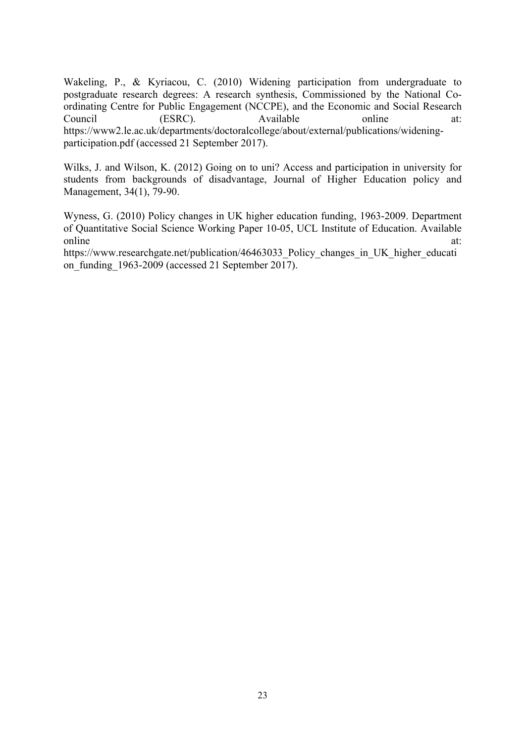Wakeling, P., & Kyriacou, C. (2010) Widening participation from undergraduate to postgraduate research degrees: A research synthesis, Commissioned by the National Coordinating Centre for Public Engagement (NCCPE), and the Economic and Social Research Council (ESRC). Available online at: https://www2.le.ac.uk/departments/doctoralcollege/about/external/publications/wideningparticipation.pdf (accessed 21 September 2017).

Wilks, J. and Wilson, K. (2012) Going on to uni? Access and participation in university for students from backgrounds of disadvantage, Journal of Higher Education policy and Management, 34(1), 79-90.

Wyness, G. (2010) Policy changes in UK higher education funding, 1963-2009. Department of Quantitative Social Science Working Paper 10-05, UCL Institute of Education. Available online at:

https://www.researchgate.net/publication/46463033\_Policy\_changes\_in\_UK\_higher\_educati on funding 1963-2009 (accessed 21 September 2017).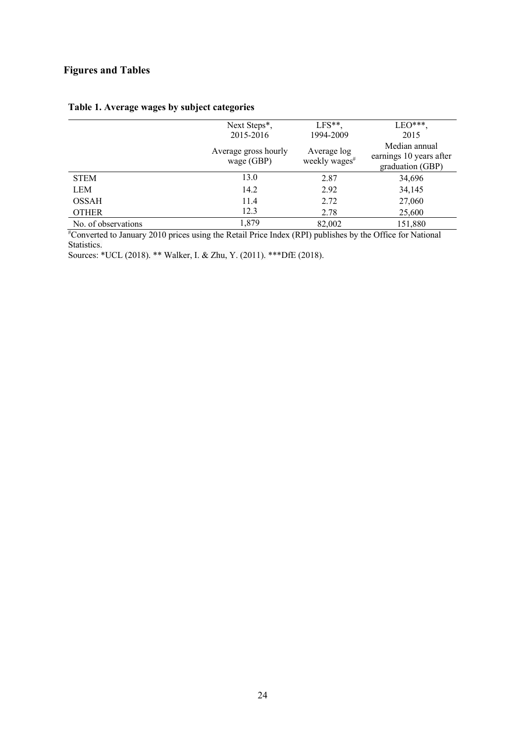## **Figures and Tables**

|                    | Next Steps*,                       | $LFS**$                                  | $LEO***$                                                     |
|--------------------|------------------------------------|------------------------------------------|--------------------------------------------------------------|
|                    | 2015-2016                          | 1994-2009                                | 2015                                                         |
|                    | Average gross hourly<br>wage (GBP) | Average log<br>weekly wages <sup>#</sup> | Median annual<br>earnings 10 years after<br>graduation (GBP) |
| <b>STEM</b>        | 13.0                               | 2.87                                     | 34,696                                                       |
| <b>LEM</b>         | 14.2                               | 2.92                                     | 34,145                                                       |
| <b>OSSAH</b>       | 11.4                               | 2.72                                     | 27,060                                                       |
| <b>OTHER</b>       | 12.3                               | 2.78                                     | 25,600                                                       |
| No of observations | 1,879                              | 82.002                                   | 151 880                                                      |

## **Table 1. Average wages by subject categories**

No. of observations 1,879 82,002 151,880 # Converted to January 2010 prices using the Retail Price Index (RPI) publishes by the Office for National Statistics.

Sources: \*UCL (2018). \*\* Walker, I. & Zhu, Y. (2011). \*\*\*DfE (2018).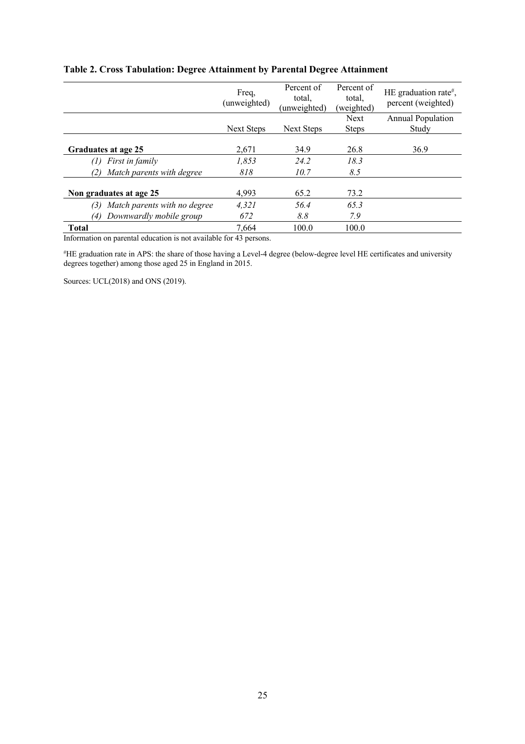|                                     | Freq,<br>(unweighted) | Percent of<br>total.<br>(unweighted) | Percent of<br>total,<br>(weighted) | HE graduation rate <sup>#</sup> ,<br>percent (weighted) |
|-------------------------------------|-----------------------|--------------------------------------|------------------------------------|---------------------------------------------------------|
|                                     |                       |                                      | <b>Next</b>                        | <b>Annual Population</b>                                |
|                                     | Next Steps            | Next Steps                           | <b>Steps</b>                       | Study                                                   |
| Graduates at age 25                 | 2,671                 | 34.9                                 | 26.8                               | 36.9                                                    |
| <i>First in family</i><br>(1)       | 1,853                 | 24.2                                 | 18.3                               |                                                         |
| Match parents with degree<br>(2)    | 818                   | 10.7                                 | 8.5                                |                                                         |
| Non graduates at age 25             | 4,993                 | 65.2                                 | 73.2                               |                                                         |
| Match parents with no degree<br>(3) | 4,321                 | 56.4                                 | 65.3                               |                                                         |
| Downwardly mobile group<br>(4)      | 672                   | 8.8                                  | 7.9                                |                                                         |
| <b>Total</b>                        | 7,664                 | 100.0                                | 100.0                              |                                                         |

## **Table 2. Cross Tabulation: Degree Attainment by Parental Degree Attainment**

Information on parental education is not available for 43 persons.

# HE graduation rate in APS: the share of those having a Level-4 degree (below-degree level HE certificates and university degrees together) among those aged 25 in England in 2015.

Sources: UCL(2018) and ONS (2019).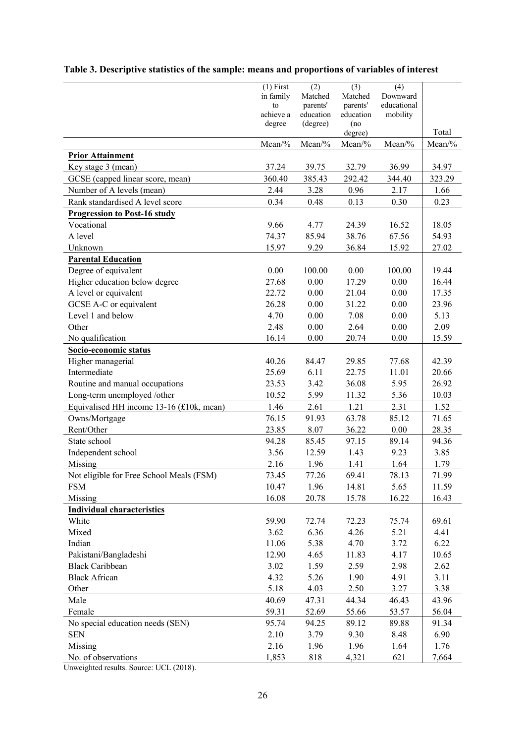|                                          | $(1)$ First     | (2)                   | (3)                   | (4)                     |        |
|------------------------------------------|-----------------|-----------------------|-----------------------|-------------------------|--------|
|                                          | in family       | Matched               | Matched               | Downward                |        |
|                                          | to<br>achieve a | parents'<br>education | parents'<br>education | educational<br>mobility |        |
|                                          | degree          | (degree)              | (no                   |                         |        |
|                                          |                 |                       | degree)               |                         | Total  |
|                                          | Mean/%          | Mean/%                | Mean/%                | Mean/%                  | Mean/% |
| <b>Prior Attainment</b>                  |                 |                       |                       |                         |        |
| Key stage 3 (mean)                       | 37.24           | 39.75                 | 32.79                 | 36.99                   | 34.97  |
| GCSE (capped linear score, mean)         | 360.40          | 385.43                | 292.42                | 344.40                  | 323.29 |
| Number of A levels (mean)                | 2.44            | 3.28                  | 0.96                  | 2.17                    | 1.66   |
| Rank standardised A level score          | 0.34            | 0.48                  | 0.13                  | 0.30                    | 0.23   |
| <b>Progression to Post-16 study</b>      |                 |                       |                       |                         |        |
| Vocational                               | 9.66            | 4.77                  | 24.39                 | 16.52                   | 18.05  |
| A level                                  | 74.37           | 85.94                 | 38.76                 | 67.56                   | 54.93  |
| Unknown                                  | 15.97           | 9.29                  | 36.84                 | 15.92                   | 27.02  |
| <b>Parental Education</b>                |                 |                       |                       |                         |        |
| Degree of equivalent                     | 0.00            | 100.00                | 0.00                  | 100.00                  | 19.44  |
| Higher education below degree            | 27.68           | 0.00                  | 17.29                 | 0.00                    | 16.44  |
| A level or equivalent                    | 22.72           | 0.00                  | 21.04                 | 0.00                    | 17.35  |
| GCSE A-C or equivalent                   | 26.28           | 0.00                  | 31.22                 | 0.00                    | 23.96  |
| Level 1 and below                        | 4.70            | 0.00                  | 7.08                  | 0.00                    | 5.13   |
| Other                                    | 2.48            | 0.00                  | 2.64                  | 0.00                    | 2.09   |
| No qualification                         | 16.14           | 0.00                  | 20.74                 | 0.00                    | 15.59  |
| Socio-economic status                    |                 |                       |                       |                         |        |
| Higher managerial                        | 40.26           | 84.47                 | 29.85                 | 77.68                   | 42.39  |
| Intermediate                             | 25.69           | 6.11                  | 22.75                 | 11.01                   | 20.66  |
| Routine and manual occupations           | 23.53           | 3.42                  | 36.08                 | 5.95                    | 26.92  |
| Long-term unemployed /other              | 10.52           | 5.99                  | 11.32                 | 5.36                    | 10.03  |
| Equivalised HH income 13-16 (£10k, mean) | 1.46            | 2.61                  | 1.21                  | 2.31                    | 1.52   |
| Owns/Mortgage                            | 76.15           | 91.93                 | 63.78                 | 85.12                   | 71.65  |
| Rent/Other                               | 23.85           | 8.07                  | 36.22                 | 0.00                    | 28.35  |
| State school                             | 94.28           | 85.45                 | 97.15                 | 89.14                   | 94.36  |
| Independent school                       | 3.56            | 12.59                 | 1.43                  | 9.23                    | 3.85   |
| Missing                                  | 2.16            | 1.96                  | 1.41                  | 1.64                    | 1.79   |
| Not eligible for Free School Meals (FSM) | 73.45           | 77.26                 | 69.41                 | 78.13                   | 71.99  |
| <b>FSM</b>                               | 10.47           | 1.96                  | 14.81                 | 5.65                    | 11.59  |
| Missing                                  | 16.08           | 20.78                 | 15.78                 | 16.22                   | 16.43  |
| <b>Individual characteristics</b>        |                 |                       |                       |                         |        |
| White                                    | 59.90           | 72.74                 | 72.23                 | 75.74                   | 69.61  |
| Mixed                                    | 3.62            | 6.36                  | 4.26                  | 5.21                    | 4.41   |
| Indian                                   | 11.06           | 5.38                  | 4.70                  | 3.72                    | 6.22   |
| Pakistani/Bangladeshi                    | 12.90           | 4.65                  | 11.83                 | 4.17                    | 10.65  |
| <b>Black Caribbean</b>                   | 3.02            | 1.59                  | 2.59                  | 2.98                    | 2.62   |
| <b>Black African</b>                     | 4.32            | 5.26                  | 1.90                  | 4.91                    | 3.11   |
| Other                                    | 5.18            | 4.03                  | 2.50                  | 3.27                    | 3.38   |
| Male                                     | 40.69           | 47.31                 | 44.34                 | 46.43                   | 43.96  |
| Female                                   | 59.31           | 52.69                 | 55.66                 | 53.57                   | 56.04  |
| No special education needs (SEN)         | 95.74           | 94.25                 | 89.12                 | 89.88                   | 91.34  |
| <b>SEN</b>                               | 2.10            | 3.79                  | 9.30                  | 8.48                    | 6.90   |
| Missing                                  | 2.16            | 1.96                  | 1.96                  | 1.64                    | 1.76   |
| No. of observations                      | 1,853           | 818                   | 4,321                 | 621                     | 7,664  |

## **Table 3. Descriptive statistics of the sample: means and proportions of variables of interest**

Unweighted results. Source: UCL (2018).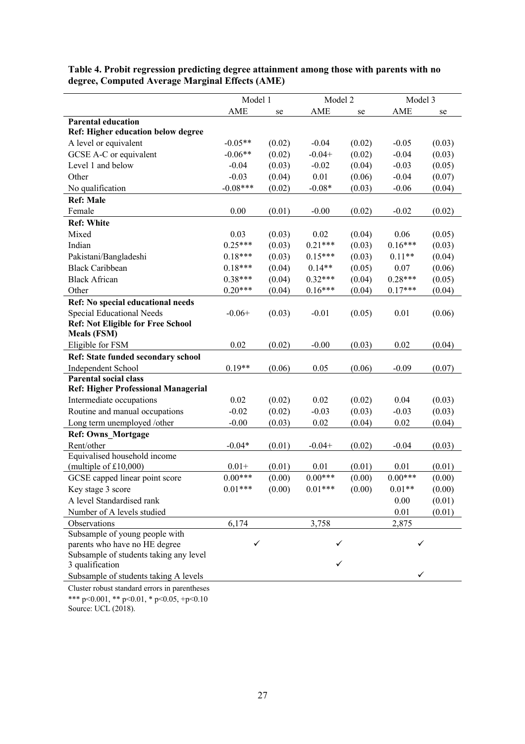|                                                                            | Model 1    |        | Model 2    |        | Model 3    |        |
|----------------------------------------------------------------------------|------------|--------|------------|--------|------------|--------|
|                                                                            | AME        | se     | <b>AME</b> | se     | <b>AME</b> | se     |
| <b>Parental education</b>                                                  |            |        |            |        |            |        |
| Ref: Higher education below degree                                         |            |        |            |        |            |        |
| A level or equivalent                                                      | $-0.05**$  | (0.02) | $-0.04$    | (0.02) | $-0.05$    | (0.03) |
| GCSE A-C or equivalent                                                     | $-0.06**$  | (0.02) | $-0.04+$   | (0.02) | $-0.04$    | (0.03) |
| Level 1 and below                                                          | $-0.04$    | (0.03) | $-0.02$    | (0.04) | $-0.03$    | (0.05) |
| Other                                                                      | $-0.03$    | (0.04) | 0.01       | (0.06) | $-0.04$    | (0.07) |
| No qualification                                                           | $-0.08***$ | (0.02) | $-0.08*$   | (0.03) | $-0.06$    | (0.04) |
| <b>Ref: Male</b>                                                           |            |        |            |        |            |        |
| Female                                                                     | 0.00       | (0.01) | $-0.00$    | (0.02) | $-0.02$    | (0.02) |
| <b>Ref: White</b>                                                          |            |        |            |        |            |        |
| Mixed                                                                      | 0.03       | (0.03) | 0.02       | (0.04) | 0.06       | (0.05) |
| Indian                                                                     | $0.25***$  | (0.03) | $0.21***$  | (0.03) | $0.16***$  | (0.03) |
| Pakistani/Bangladeshi                                                      | $0.18***$  | (0.03) | $0.15***$  | (0.03) | $0.11**$   | (0.04) |
| <b>Black Caribbean</b>                                                     | $0.18***$  | (0.04) | $0.14**$   | (0.05) | 0.07       | (0.06) |
| <b>Black African</b>                                                       | $0.38***$  | (0.04) | $0.32***$  | (0.04) | $0.28***$  | (0.05) |
| Other                                                                      | $0.20***$  | (0.04) | $0.16***$  | (0.04) | $0.17***$  | (0.04) |
| Ref: No special educational needs                                          |            |        |            |        |            |        |
| Special Educational Needs                                                  | $-0.06+$   | (0.03) | $-0.01$    | (0.05) | 0.01       | (0.06) |
| <b>Ref: Not Eligible for Free School</b>                                   |            |        |            |        |            |        |
| <b>Meals (FSM)</b>                                                         |            |        |            |        |            |        |
| Eligible for FSM                                                           | 0.02       | (0.02) | $-0.00$    | (0.03) | 0.02       | (0.04) |
| Ref: State funded secondary school                                         |            |        |            |        |            |        |
| Independent School                                                         | $0.19**$   | (0.06) | 0.05       | (0.06) | $-0.09$    | (0.07) |
| <b>Parental social class</b><br><b>Ref: Higher Professional Managerial</b> |            |        |            |        |            |        |
| Intermediate occupations                                                   | 0.02       | (0.02) | 0.02       | (0.02) | 0.04       | (0.03) |
| Routine and manual occupations                                             | $-0.02$    | (0.02) | $-0.03$    | (0.03) | $-0.03$    | (0.03) |
| Long term unemployed /other                                                | $-0.00$    | (0.03) | 0.02       | (0.04) | 0.02       | (0.04) |
| Ref: Owns_Mortgage                                                         |            |        |            |        |            |        |
| Rent/other                                                                 | $-0.04*$   | (0.01) | $-0.04+$   | (0.02) | $-0.04$    | (0.03) |
| Equivalised household income                                               |            |        |            |        |            |        |
| (multiple of $£10,000$ )                                                   | $0.01 +$   | (0.01) | 0.01       | (0.01) | 0.01       | (0.01) |
| GCSE capped linear point score                                             | $0.00***$  | (0.00) | $0.00***$  | (0.00) | $0.00***$  | (0.00) |
| Key stage 3 score                                                          | $0.01***$  | (0.00) | $0.01***$  | (0.00) | $0.01**$   | (0.00) |
| A level Standardised rank                                                  |            |        |            |        | 0.00       | (0.01) |
| Number of A levels studied                                                 |            |        |            |        | 0.01       | (0.01) |
| Observations                                                               | 6,174      |        | 3,758      |        | 2,875      |        |
| Subsample of young people with                                             |            |        |            |        |            |        |
| parents who have no HE degree                                              | ✓          |        |            |        | ✓          |        |
| Subsample of students taking any level                                     |            |        |            |        |            |        |
| 3 qualification                                                            |            |        | ✓          |        |            |        |
| Subsample of students taking A levels                                      |            |        |            |        | ✓          |        |
| Cluster robust standard errors in parentheses                              |            |        |            |        |            |        |

**Table 4. Probit regression predicting degree attainment among those with parents with no degree, Computed Average Marginal Effects (AME)**

Cluster robust standard errors in parentheses \*\*\* p<0.001, \*\* p<0.01, \* p<0.05, +p<0.10 Source: UCL (2018).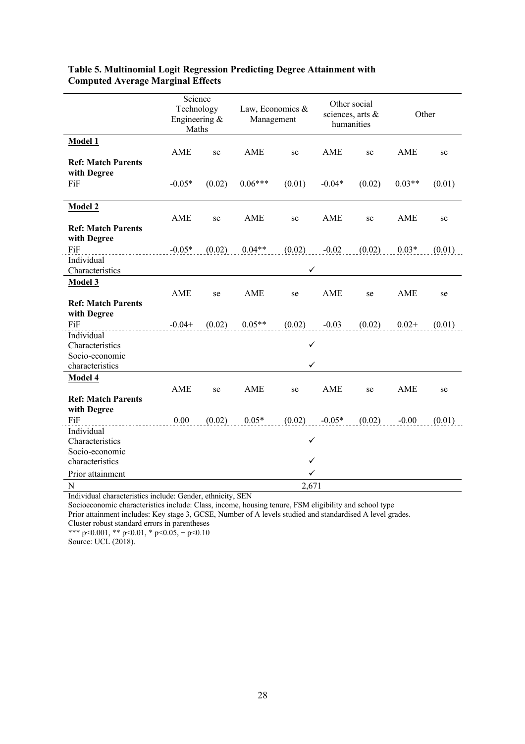| Science<br>Other social<br>Technology<br>Law, Economics &<br>sciences, arts &<br>Engineering &<br>Management<br>humanities<br>Maths |                    | Other  |  |
|-------------------------------------------------------------------------------------------------------------------------------------|--------------------|--------|--|
| <b>Model 1</b>                                                                                                                      |                    |        |  |
| AME<br>AME<br>AME<br>se<br>se                                                                                                       | AME<br>se          | se     |  |
| <b>Ref: Match Parents</b>                                                                                                           |                    |        |  |
| with Degree                                                                                                                         |                    |        |  |
| FiF<br>$-0.05*$<br>(0.02)<br>$0.06***$<br>(0.01)<br>$-0.04*$                                                                        | (0.02)<br>$0.03**$ | (0.01) |  |
| Model 2                                                                                                                             |                    |        |  |
| AME<br>AME<br>AME<br>se<br>se                                                                                                       | AME<br>se          | se     |  |
| <b>Ref: Match Parents</b>                                                                                                           |                    |        |  |
| with Degree                                                                                                                         |                    |        |  |
| $0.04**$<br>FiF<br>$-0.05*$<br>(0.02)<br>(0.02)<br>$-0.02$                                                                          | $0.03*$<br>(0.02)  | (0.01) |  |
| Individual                                                                                                                          |                    |        |  |
| $\checkmark$<br>Characteristics                                                                                                     |                    |        |  |
| Model 3                                                                                                                             |                    |        |  |
| AME<br>AME<br>AME<br>se<br>se                                                                                                       | AME<br>se          | se     |  |
| <b>Ref: Match Parents</b>                                                                                                           |                    |        |  |
| with Degree                                                                                                                         |                    |        |  |
| $0.05**$<br>FiF<br>$-0.04 +$<br>(0.02)<br>$(0.02)$ $-0.03$                                                                          | (0.02)<br>$0.02 +$ | (0.01) |  |
| Individual                                                                                                                          |                    |        |  |
| ✓<br>Characteristics                                                                                                                |                    |        |  |
| Socio-economic<br>characteristics<br>✓                                                                                              |                    |        |  |
|                                                                                                                                     |                    |        |  |
| Model 4                                                                                                                             |                    |        |  |
| AME<br>AME<br>AME<br>se<br>se<br><b>Ref: Match Parents</b>                                                                          | AME<br>se          | se     |  |
| with Degree                                                                                                                         |                    |        |  |
| FiF<br>0.00<br>(0.02)<br>$0.05*$<br>(0.02)<br>$-0.05*$                                                                              | (0.02)<br>$-0.00$  | (0.01) |  |
| Individual                                                                                                                          |                    |        |  |
| ✓<br>Characteristics                                                                                                                |                    |        |  |
| Socio-economic                                                                                                                      |                    |        |  |
| ✓<br>characteristics                                                                                                                |                    |        |  |
| ✓<br>Prior attainment                                                                                                               |                    |        |  |
| ${\bf N}$<br>2,671                                                                                                                  |                    |        |  |

#### **Table 5. Multinomial Logit Regression Predicting Degree Attainment with Computed Average Marginal Effects**

Individual characteristics include: Gender, ethnicity, SEN

Socioeconomic characteristics include: Class, income, housing tenure, FSM eligibility and school type

Prior attainment includes: Key stage 3, GCSE, Number of A levels studied and standardised A level grades.

Cluster robust standard errors in parentheses \*\*\* p<0.001, \*\* p<0.01, \* p<0.05, + p<0.10

Source: UCL (2018).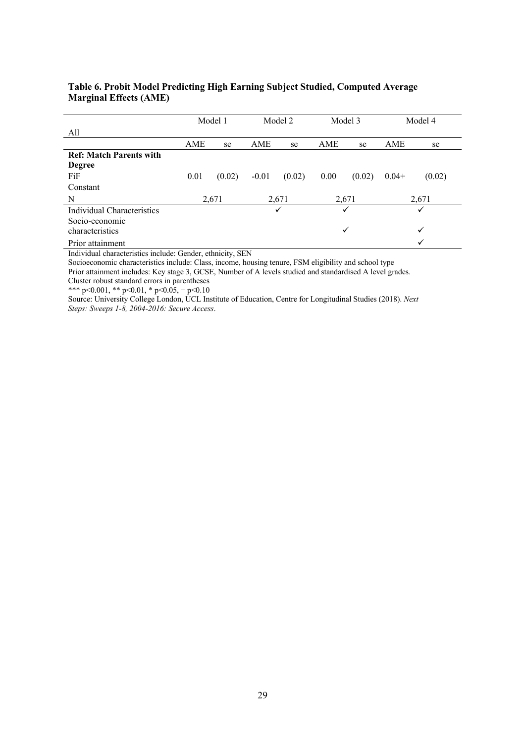|                                |      | Model 1 |         | Model 2 |              | Model 3 |         | Model 4 |
|--------------------------------|------|---------|---------|---------|--------------|---------|---------|---------|
| All                            |      |         |         |         |              |         |         |         |
|                                | AME  | se      | AME     | se      | AME          | se      | AME     | se      |
| <b>Ref: Match Parents with</b> |      |         |         |         |              |         |         |         |
| <b>Degree</b>                  |      |         |         |         |              |         |         |         |
| FiF                            | 0.01 | (0.02)  | $-0.01$ | (0.02)  | 0.00         | (0.02)  | $0.04+$ | (0.02)  |
| Constant                       |      |         |         |         |              |         |         |         |
| N                              |      | 2,671   |         | 2,671   |              | 2,671   |         | 2,671   |
| Individual Characteristics     |      |         |         | ✓       |              | ✓       |         | ✓       |
| Socio-economic                 |      |         |         |         |              |         |         |         |
| characteristics                |      |         |         |         | $\checkmark$ |         |         | ✓       |
| Prior attainment               |      |         |         |         |              |         |         |         |

#### **Table 6. Probit Model Predicting High Earning Subject Studied, Computed Average Marginal Effects (AME)**

Individual characteristics include: Gender, ethnicity, SEN

Socioeconomic characteristics include: Class, income, housing tenure, FSM eligibility and school type

Prior attainment includes: Key stage 3, GCSE, Number of A levels studied and standardised A level grades.

Cluster robust standard errors in parentheses

\*\*\* p<0.001, \*\* p<0.01, \* p<0.05, + p<0.10

Source: University College London, UCL Institute of Education, Centre for Longitudinal Studies (2018). *Next Steps: Sweeps 1-8, 2004-2016: Secure Access*.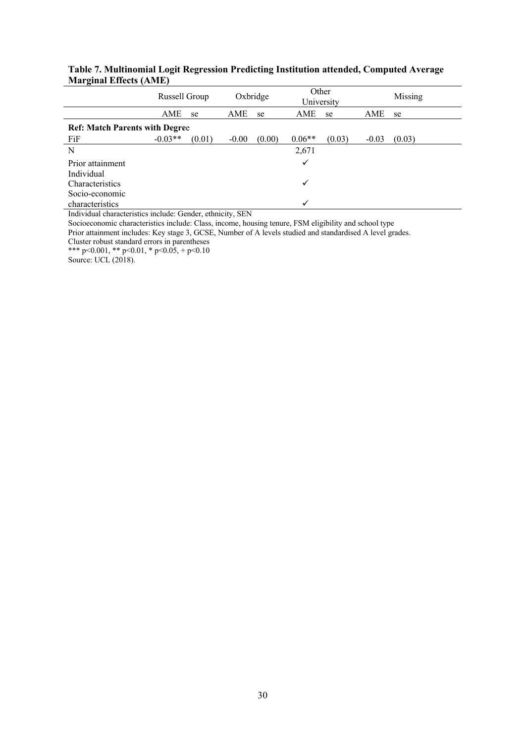|                                       | Russell Group |        |         | Oxbridge | Other        | University |         | Missing |
|---------------------------------------|---------------|--------|---------|----------|--------------|------------|---------|---------|
|                                       | AME           | se     | AME     | se       | AME          | se         | AME     | se      |
| <b>Ref: Match Parents with Degree</b> |               |        |         |          |              |            |         |         |
| FiF                                   | $-0.03**$     | (0.01) | $-0.00$ | (0.00)   | $0.06**$     | (0.03)     | $-0.03$ | (0.03)  |
| N                                     |               |        |         |          | 2,671        |            |         |         |
| Prior attainment                      |               |        |         |          | $\checkmark$ |            |         |         |
| Individual                            |               |        |         |          |              |            |         |         |
| Characteristics                       |               |        |         |          | ✓            |            |         |         |
| Socio-economic                        |               |        |         |          |              |            |         |         |
| characteristics                       |               |        |         |          |              |            |         |         |

#### **Table 7. Multinomial Logit Regression Predicting Institution attended, Computed Average Marginal Effects (AME)**

Individual characteristics include: Gender, ethnicity, SEN

Socioeconomic characteristics include: Class, income, housing tenure, FSM eligibility and school type

Prior attainment includes: Key stage 3, GCSE, Number of A levels studied and standardised A level grades.

Cluster robust standard errors in parentheses

\*\*\* p<0.001, \*\* p<0.01, \* p<0.05, + p<0.10

Source: UCL (2018).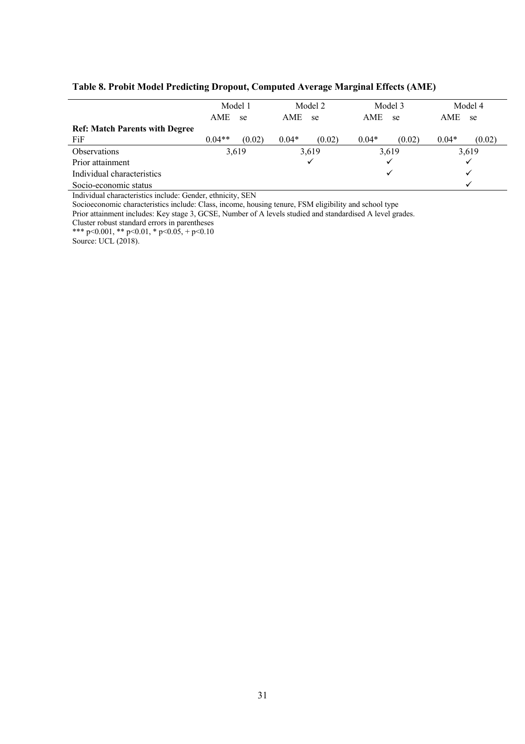#### **Table 8. Probit Model Predicting Dropout, Computed Average Marginal Effects (AME)**

|                                       |          | Model 1 |         | Model 2 |         | Model 3 |         | Model 4 |
|---------------------------------------|----------|---------|---------|---------|---------|---------|---------|---------|
|                                       | AME      | se      | AME     | -se     | AME     | se      | AME     | se      |
| <b>Ref: Match Parents with Degree</b> |          |         |         |         |         |         |         |         |
| FiF                                   | $0.04**$ | (0.02)  | $0.04*$ | (0.02)  | $0.04*$ | (0.02)  | $0.04*$ | (0.02)  |
| <b>Observations</b>                   |          | 3,619   |         | 3,619   |         | 3,619   |         | 3,619   |
| Prior attainment                      |          |         |         | ✓       |         | ✓       |         |         |
| Individual characteristics            |          |         |         |         |         | ✓       |         | v       |
| Socio-economic status                 |          |         |         |         |         |         |         |         |

Individual characteristics include: Gender, ethnicity, SEN

Socioeconomic characteristics include: Class, income, housing tenure, FSM eligibility and school type

Prior attainment includes: Key stage 3, GCSE, Number of A levels studied and standardised A level grades.

Cluster robust standard errors in parentheses

\*\*\* p<0.001, \*\* p<0.01, \* p<0.05, + p<0.10

Source: UCL (2018).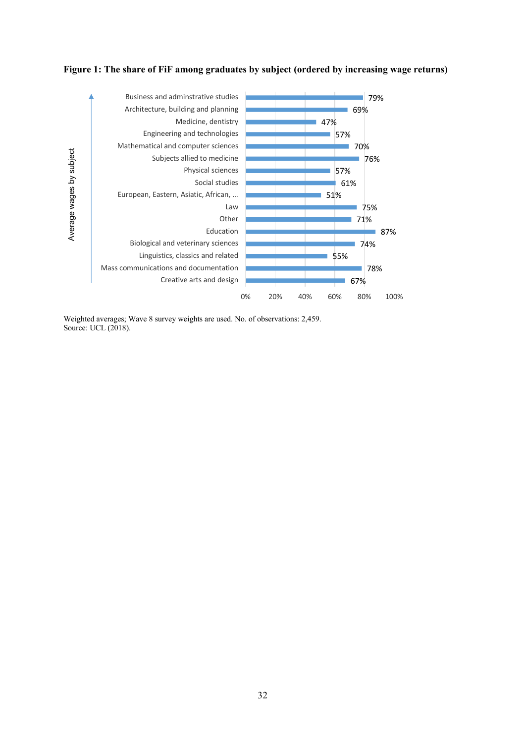



Weighted averages; Wave 8 survey weights are used. No. of observations: 2,459. Source: UCL (2018).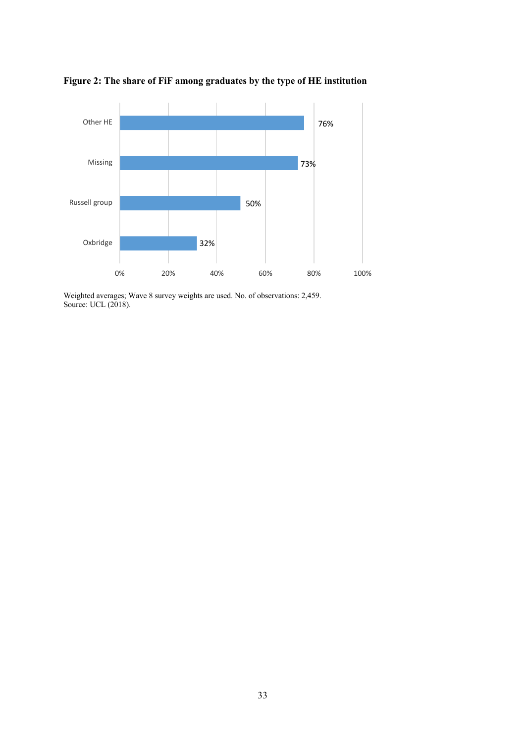

**Figure 2: The share of FiF among graduates by the type of HE institution**

Weighted averages; Wave 8 survey weights are used. No. of observations: 2,459. Source: UCL (2018).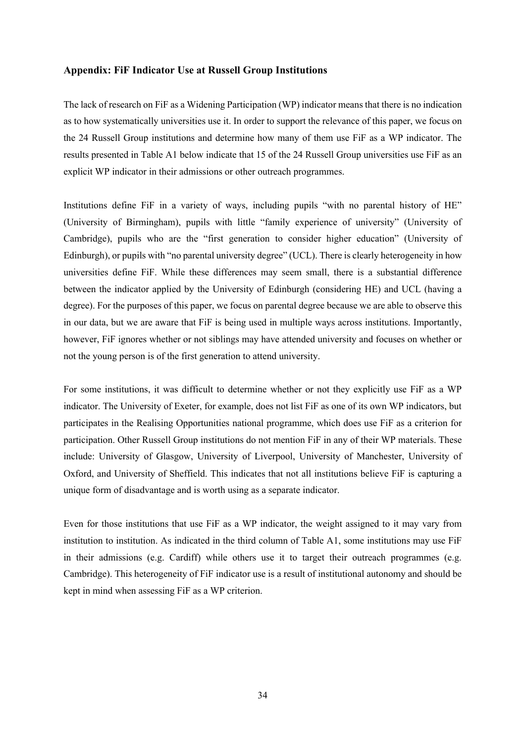#### **Appendix: FiF Indicator Use at Russell Group Institutions**

The lack of research on FiF as a Widening Participation (WP) indicator means that there is no indication as to how systematically universities use it. In order to support the relevance of this paper, we focus on the 24 Russell Group institutions and determine how many of them use FiF as a WP indicator. The results presented in Table A1 below indicate that 15 of the 24 Russell Group universities use FiF as an explicit WP indicator in their admissions or other outreach programmes.

Institutions define FiF in a variety of ways, including pupils "with no parental history of HE" (University of Birmingham), pupils with little "family experience of university" (University of Cambridge), pupils who are the "first generation to consider higher education" (University of Edinburgh), or pupils with "no parental university degree" (UCL). There is clearly heterogeneity in how universities define FiF. While these differences may seem small, there is a substantial difference between the indicator applied by the University of Edinburgh (considering HE) and UCL (having a degree). For the purposes of this paper, we focus on parental degree because we are able to observe this in our data, but we are aware that FiF is being used in multiple ways across institutions. Importantly, however, FiF ignores whether or not siblings may have attended university and focuses on whether or not the young person is of the first generation to attend university.

For some institutions, it was difficult to determine whether or not they explicitly use FiF as a WP indicator. The University of Exeter, for example, does not list FiF as one of its own WP indicators, but participates in the Realising Opportunities national programme, which does use FiF as a criterion for participation. Other Russell Group institutions do not mention FiF in any of their WP materials. These include: University of Glasgow, University of Liverpool, University of Manchester, University of Oxford, and University of Sheffield. This indicates that not all institutions believe FiF is capturing a unique form of disadvantage and is worth using as a separate indicator.

Even for those institutions that use FiF as a WP indicator, the weight assigned to it may vary from institution to institution. As indicated in the third column of Table A1, some institutions may use FiF in their admissions (e.g. Cardiff) while others use it to target their outreach programmes (e.g. Cambridge). This heterogeneity of FiF indicator use is a result of institutional autonomy and should be kept in mind when assessing FiF as a WP criterion.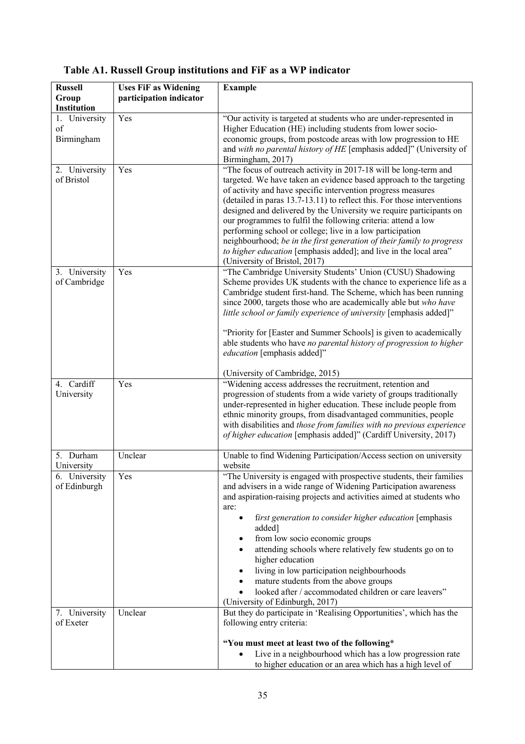| <b>Russell</b><br>Group           | <b>Uses FiF as Widening</b><br>participation indicator | <b>Example</b>                                                                                                                                                                                                                                                                                                                                                                                                                                                                                                                                                                                                                                                         |
|-----------------------------------|--------------------------------------------------------|------------------------------------------------------------------------------------------------------------------------------------------------------------------------------------------------------------------------------------------------------------------------------------------------------------------------------------------------------------------------------------------------------------------------------------------------------------------------------------------------------------------------------------------------------------------------------------------------------------------------------------------------------------------------|
| Institution                       |                                                        |                                                                                                                                                                                                                                                                                                                                                                                                                                                                                                                                                                                                                                                                        |
| 1. University<br>of<br>Birmingham | Yes                                                    | "Our activity is targeted at students who are under-represented in<br>Higher Education (HE) including students from lower socio-<br>economic groups, from postcode areas with low progression to HE<br>and with no parental history of HE [emphasis added]" (University of<br>Birmingham, 2017)                                                                                                                                                                                                                                                                                                                                                                        |
| 2. University<br>of Bristol       | Yes                                                    | "The focus of outreach activity in 2017-18 will be long-term and<br>targeted. We have taken an evidence based approach to the targeting<br>of activity and have specific intervention progress measures<br>(detailed in paras 13.7-13.11) to reflect this. For those interventions<br>designed and delivered by the University we require participants on<br>our programmes to fulfil the following criteria: attend a low<br>performing school or college; live in a low participation<br>neighbourhood; be in the first generation of their family to progress<br>to higher education [emphasis added]; and live in the local area"<br>(University of Bristol, 2017) |
| 3. University<br>of Cambridge     | Yes                                                    | "The Cambridge University Students' Union (CUSU) Shadowing<br>Scheme provides UK students with the chance to experience life as a<br>Cambridge student first-hand. The Scheme, which has been running<br>since 2000, targets those who are academically able but who have<br>little school or family experience of university [emphasis added]"<br>"Priority for [Easter and Summer Schools] is given to academically<br>able students who have no parental history of progression to higher<br>education [emphasis added]"                                                                                                                                            |
| 4. Cardiff                        | Yes                                                    | (University of Cambridge, 2015)<br>"Widening access addresses the recruitment, retention and                                                                                                                                                                                                                                                                                                                                                                                                                                                                                                                                                                           |
| University                        |                                                        | progression of students from a wide variety of groups traditionally<br>under-represented in higher education. These include people from<br>ethnic minority groups, from disadvantaged communities, people<br>with disabilities and those from families with no previous experience<br>of higher education [emphasis added]" (Cardiff University, 2017)                                                                                                                                                                                                                                                                                                                 |
| 5. Durham<br>University           | Unclear                                                | Unable to find Widening Participation/Access section on university<br>website                                                                                                                                                                                                                                                                                                                                                                                                                                                                                                                                                                                          |
| 6. University<br>of Edinburgh     | Yes                                                    | "The University is engaged with prospective students, their families<br>and advisers in a wide range of Widening Participation awareness<br>and aspiration-raising projects and activities aimed at students who<br>are:<br>first generation to consider higher education [emphasis<br>added]<br>from low socio economic groups<br>attending schools where relatively few students go on to<br>higher education<br>living in low participation neighbourhoods<br>mature students from the above groups<br>looked after / accommodated children or care leavers"<br>(University of Edinburgh, 2017)                                                                     |
| 7. University<br>of Exeter        | Unclear                                                | But they do participate in 'Realising Opportunities', which has the<br>following entry criteria:                                                                                                                                                                                                                                                                                                                                                                                                                                                                                                                                                                       |
|                                   |                                                        | "You must meet at least two of the following*<br>Live in a neighbourhood which has a low progression rate<br>$\bullet$<br>to higher education or an area which has a high level of                                                                                                                                                                                                                                                                                                                                                                                                                                                                                     |

## **Table A1. Russell Group institutions and FiF as a WP indicator**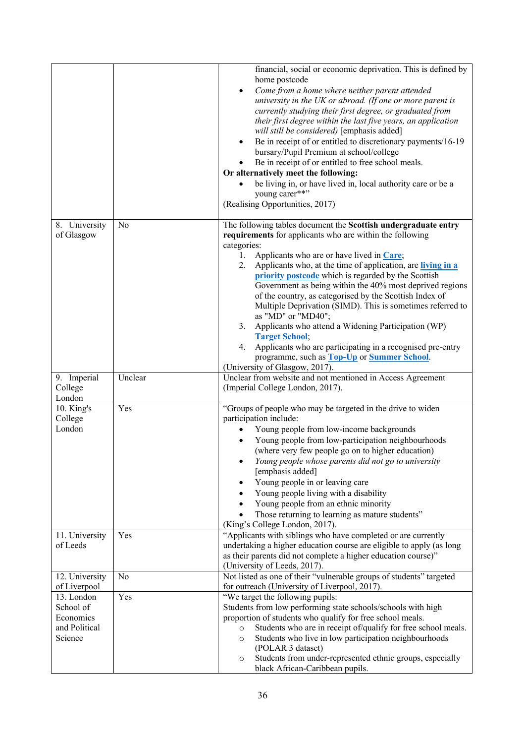|                                                                  |                           | financial, social or economic deprivation. This is defined by<br>home postcode<br>Come from a home where neither parent attended<br>$\bullet$<br>university in the UK or abroad. (If one or more parent is<br>currently studying their first degree, or graduated from<br>their first degree within the last five years, an application<br>will still be considered) [emphasis added]<br>Be in receipt of or entitled to discretionary payments/16-19<br>bursary/Pupil Premium at school/college<br>Be in receipt of or entitled to free school meals.<br>Or alternatively meet the following:<br>be living in, or have lived in, local authority care or be a<br>young carer**"<br>(Realising Opportunities, 2017)                                                                                                                    |
|------------------------------------------------------------------|---------------------------|----------------------------------------------------------------------------------------------------------------------------------------------------------------------------------------------------------------------------------------------------------------------------------------------------------------------------------------------------------------------------------------------------------------------------------------------------------------------------------------------------------------------------------------------------------------------------------------------------------------------------------------------------------------------------------------------------------------------------------------------------------------------------------------------------------------------------------------|
| 8. University<br>of Glasgow<br>9. Imperial                       | N <sub>o</sub><br>Unclear | The following tables document the Scottish undergraduate entry<br>requirements for applicants who are within the following<br>categories:<br>Applicants who are or have lived in Care;<br>1.<br>Applicants who, at the time of application, are living in a<br>2.<br>priority postcode which is regarded by the Scottish<br>Government as being within the 40% most deprived regions<br>of the country, as categorised by the Scottish Index of<br>Multiple Deprivation (SIMD). This is sometimes referred to<br>as "MD" or "MD40";<br>3. Applicants who attend a Widening Participation (WP)<br><b>Target School;</b><br>4. Applicants who are participating in a recognised pre-entry<br>programme, such as Top-Up or Summer School.<br>(University of Glasgow, 2017).<br>Unclear from website and not mentioned in Access Agreement |
| College<br>London                                                |                           | (Imperial College London, 2017).                                                                                                                                                                                                                                                                                                                                                                                                                                                                                                                                                                                                                                                                                                                                                                                                       |
| 10. King's<br>College<br>London                                  | Yes                       | "Groups of people who may be targeted in the drive to widen<br>participation include:<br>Young people from low-income backgrounds<br>Young people from low-participation neighbourhoods<br>(where very few people go on to higher education)<br>Young people whose parents did not go to university<br>[emphasis added]<br>Young people in or leaving care<br>Young people living with a disability<br>Young people from an ethnic minority<br>Those returning to learning as mature students"<br>(King's College London, 2017).                                                                                                                                                                                                                                                                                                       |
| 11. University<br>of Leeds                                       | Yes                       | "Applicants with siblings who have completed or are currently<br>undertaking a higher education course are eligible to apply (as long<br>as their parents did not complete a higher education course)"<br>(University of Leeds, 2017).                                                                                                                                                                                                                                                                                                                                                                                                                                                                                                                                                                                                 |
| 12. University<br>of Liverpool                                   | No                        | Not listed as one of their "vulnerable groups of students" targeted<br>for outreach (University of Liverpool, 2017).                                                                                                                                                                                                                                                                                                                                                                                                                                                                                                                                                                                                                                                                                                                   |
| 13. London<br>School of<br>Economics<br>and Political<br>Science | Yes                       | "We target the following pupils:<br>Students from low performing state schools/schools with high<br>proportion of students who qualify for free school meals.<br>Students who are in receipt of/qualify for free school meals.<br>$\circ$<br>Students who live in low participation neighbourhoods<br>$\circ$<br>(POLAR 3 dataset)<br>Students from under-represented ethnic groups, especially<br>$\circ$<br>black African-Caribbean pupils.                                                                                                                                                                                                                                                                                                                                                                                          |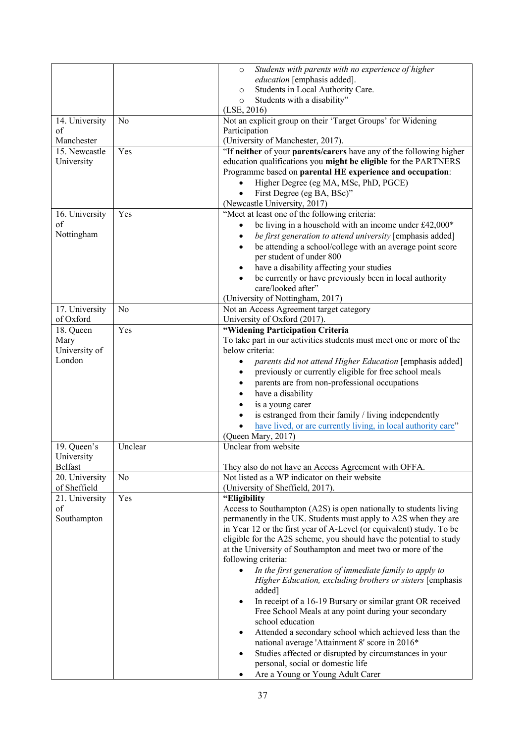|                |                | Students with parents with no experience of higher<br>$\circ$           |
|----------------|----------------|-------------------------------------------------------------------------|
|                |                | education [emphasis added].                                             |
|                |                | Students in Local Authority Care.<br>$\circ$                            |
|                |                | Students with a disability"<br>$\circ$                                  |
|                |                | (LSE, 2016)                                                             |
| 14. University | N <sub>o</sub> | Not an explicit group on their 'Target Groups' for Widening             |
| of             |                | Participation                                                           |
| Manchester     |                | (University of Manchester, 2017).                                       |
| 15. Newcastle  | Yes            | "If neither of your parents/carers have any of the following higher     |
| University     |                | education qualifications you might be eligible for the PARTNERS         |
|                |                | Programme based on parental HE experience and occupation:               |
|                |                | Higher Degree (eg MA, MSc, PhD, PGCE)                                   |
|                |                | First Degree (eg BA, BSc)"                                              |
|                |                | (Newcastle University, 2017)                                            |
| 16. University | Yes            | "Meet at least one of the following criteria:                           |
| of             |                | be living in a household with an income under £42,000*<br>$\bullet$     |
| Nottingham     |                |                                                                         |
|                |                | be first generation to attend university [emphasis added]<br>$\bullet$  |
|                |                | be attending a school/college with an average point score<br>$\bullet$  |
|                |                | per student of under 800                                                |
|                |                | have a disability affecting your studies<br>$\bullet$                   |
|                |                | be currently or have previously been in local authority                 |
|                |                | care/looked after"                                                      |
|                |                | (University of Nottingham, 2017)                                        |
| 17. University | No             | Not an Access Agreement target category                                 |
| of Oxford      |                | University of Oxford (2017).                                            |
| 18. Queen      | Yes            | "Widening Participation Criteria                                        |
| Mary           |                | To take part in our activities students must meet one or more of the    |
| University of  |                | below criteria:                                                         |
| London         |                | parents did not attend Higher Education [emphasis added]<br>٠           |
|                |                | previously or currently eligible for free school meals                  |
|                |                | parents are from non-professional occupations                           |
|                |                | have a disability                                                       |
|                |                | is a young carer                                                        |
|                |                | is estranged from their family / living independently                   |
|                |                | have lived, or are currently living, in local authority care"           |
|                |                |                                                                         |
|                |                | (Queen Mary, 2017)                                                      |
| 19. Queen's    | Unclear        | Unclear from website                                                    |
| University     |                |                                                                         |
| Belfast        |                | They also do not have an Access Agreement with OFFA.                    |
| 20. University | No             | Not listed as a WP indicator on their website                           |
| of Sheffield   |                | (University of Sheffield, 2017).                                        |
| 21. University | Yes            | "Eligibility                                                            |
| of             |                | Access to Southampton (A2S) is open nationally to students living       |
| Southampton    |                | permanently in the UK. Students must apply to A2S when they are         |
|                |                | in Year 12 or the first year of A-Level (or equivalent) study. To be    |
|                |                | eligible for the A2S scheme, you should have the potential to study     |
|                |                | at the University of Southampton and meet two or more of the            |
|                |                | following criteria:                                                     |
|                |                | In the first generation of immediate family to apply to                 |
|                |                | Higher Education, excluding brothers or sisters [emphasis               |
|                |                | added]                                                                  |
|                |                | In receipt of a 16-19 Bursary or similar grant OR received<br>$\bullet$ |
|                |                | Free School Meals at any point during your secondary                    |
|                |                | school education                                                        |
|                |                | Attended a secondary school which achieved less than the<br>٠           |
|                |                | national average 'Attainment 8' score in 2016*                          |
|                |                | Studies affected or disrupted by circumstances in your<br>٠             |
|                |                | personal, social or domestic life                                       |
|                |                | Are a Young or Young Adult Carer<br>٠                                   |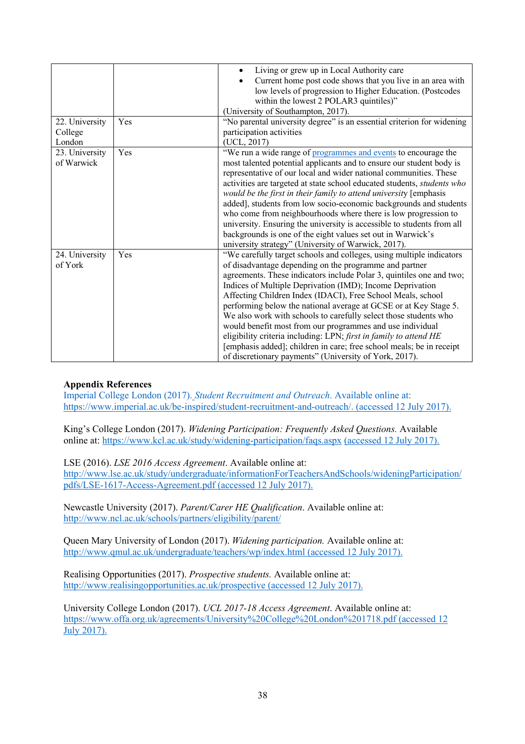|                |     | Living or grew up in Local Authority care                               |
|----------------|-----|-------------------------------------------------------------------------|
|                |     | Current home post code shows that you live in an area with<br>٠         |
|                |     | low levels of progression to Higher Education. (Postcodes               |
|                |     | within the lowest 2 POLAR3 quintiles)"                                  |
|                |     | (University of Southampton, 2017).                                      |
| 22. University | Yes | "No parental university degree" is an essential criterion for widening  |
| College        |     | participation activities                                                |
| London         |     | (UCL, 2017)                                                             |
| 23. University | Yes | "We run a wide range of programmes and events to encourage the          |
| of Warwick     |     | most talented potential applicants and to ensure our student body is    |
|                |     | representative of our local and wider national communities. These       |
|                |     | activities are targeted at state school educated students, students who |
|                |     | would be the first in their family to attend university [emphasis       |
|                |     | added], students from low socio-economic backgrounds and students       |
|                |     | who come from neighbourhoods where there is low progression to          |
|                |     | university. Ensuring the university is accessible to students from all  |
|                |     | backgrounds is one of the eight values set out in Warwick's             |
|                |     | university strategy" (University of Warwick, 2017).                     |
| 24. University | Yes | "We carefully target schools and colleges, using multiple indicators    |
| of York        |     | of disadvantage depending on the programme and partner                  |
|                |     | agreements. These indicators include Polar 3, quintiles one and two;    |
|                |     | Indices of Multiple Deprivation (IMD); Income Deprivation               |
|                |     | Affecting Children Index (IDACI), Free School Meals, school             |
|                |     | performing below the national average at GCSE or at Key Stage 5.        |
|                |     | We also work with schools to carefully select those students who        |
|                |     | would benefit most from our programmes and use individual               |
|                |     | eligibility criteria including: LPN; first in family to attend HE       |
|                |     | [emphasis added]; children in care; free school meals; be in receipt    |
|                |     | of discretionary payments" (University of York, 2017).                  |

### **Appendix References**

Imperial College London (2017). *Student Recruitment and Outreach*. Available online at: https://www.imperial.ac.uk/be-inspired/student-recruitment-and-outreach/. (accessed 12 July 2017).

King's College London (2017). *Widening Participation: Frequently Asked Questions.* Available online at: https://www.kcl.ac.uk/study/widening-participation/faqs.aspx (accessed 12 July 2017).

LSE (2016). *LSE 2016 Access Agreement*. Available online at:

http://www.lse.ac.uk/study/undergraduate/informationForTeachersAndSchools/wideningParticipation/ pdfs/LSE-1617-Access-Agreement.pdf (accessed 12 July 2017).

Newcastle University (2017). *Parent/Carer HE Qualification*. Available online at: http://www.ncl.ac.uk/schools/partners/eligibility/parent/

Queen Mary University of London (2017). *Widening participation.* Available online at: http://www.qmul.ac.uk/undergraduate/teachers/wp/index.html (accessed 12 July 2017).

Realising Opportunities (2017). *Prospective students.* Available online at: http://www.realisingopportunities.ac.uk/prospective (accessed 12 July 2017).

University College London (2017). *UCL 2017-18 Access Agreement*. Available online at: https://www.offa.org.uk/agreements/University%20College%20London%201718.pdf (accessed 12 July 2017).